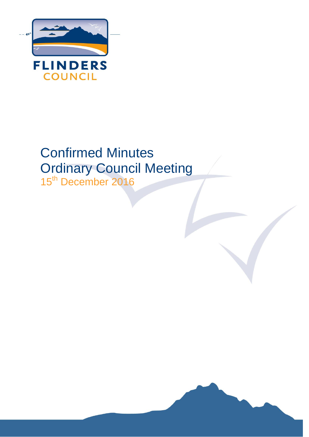

# Confirmed Minutes Ordinary Council Meeting

15<sup>th</sup> December 2016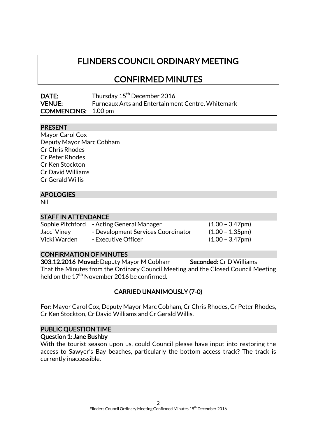# FLINDERS COUNCIL ORDINARY MEETING

# CONFIRMED MINUTES

| DATE:                      | Thursday 15 <sup>th</sup> December 2016                  |
|----------------------------|----------------------------------------------------------|
| <b>VENUE:</b>              | <b>Furneaux Arts and Entertainment Centre, Whitemark</b> |
| <b>COMMENCING:</b> 1.00 pm |                                                          |

# PRESENT

| Mayor Carol Cox          |
|--------------------------|
| Deputy Mayor Marc Cobham |
| Cr Chris Rhodes          |
| Cr Peter Rhodes          |
| Cr Ken Stockton          |
| Cr David Williams        |
| Cr Gerald Willis         |
|                          |

### APOLOGIES

Nil

### STAFF IN ATTENDANCE

| Sophie Pitchford | - Acting General Manager           | $(1.00 - 3.47$ pm     |
|------------------|------------------------------------|-----------------------|
| Jacci Viney      | - Development Services Coordinator | $(1.00 - 1.35pm)$     |
| Vicki Warden     | - Executive Officer                | $(1.00 - 3.47$ pm $)$ |

# CONFIRMATION OF MINUTES

303.12.2016 Moved: Deputy Mayor M Cobham Seconded: Cr D Williams That the Minutes from the Ordinary Council Meeting and the Closed Council Meeting held on the  $17^{\text{th}}$  November 2016 be confirmed.

# CARRIED UNANIMOUSLY (7-0)

For: Mayor Carol Cox, Deputy Mayor Marc Cobham, Cr Chris Rhodes, Cr Peter Rhodes, Cr Ken Stockton, Cr David Williams and Cr Gerald Willis.

# PUBLIC QUESTION TIME

### Question 1: Jane Bushby

With the tourist season upon us, could Council please have input into restoring the access to Sawyer's Bay beaches, particularly the bottom access track? The track is currently inaccessible.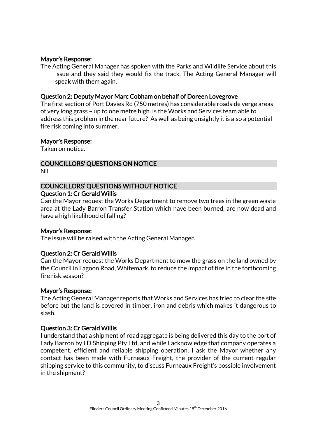### Mayor's Response:

The Acting General Manager has spoken with the Parks and Wildlife Service about this issue and they said they would fix the track. The Acting General Manager will speak with them again.

### Question 2: Deputy Mayor Marc Cobham on behalf of Doreen Lovegrove

The first section of Port Davies Rd (750 metres) has considerable roadside verge areas of very long grass – up to one metre high. Is the Works and Services team able to address this problem in the near future? As well as being unsightly it is also a potential fire risk coming into summer.

#### Mayor's Response:

Taken on notice.

# COUNCILLORS' QUESTIONS ON NOTICE

Nil

#### COUNCILLORS' QUESTIONS WITHOUT NOTICE Question 1: Cr Gerald Willis

Can the Mayor request the Works Department to remove two trees in the green waste area at the Lady Barron Transfer Station which have been burned, are now dead and have a high likelihood of falling?

### Mayor's Response:

The issue will be raised with the Acting General Manager.

### Question 2: Cr Gerald Willis

Can the Mayor request the Works Department to mow the grass on the land owned by the Council in Lagoon Road, Whitemark, to reduce the impact of fire in the forthcoming fire risk season?

### Mayor's Response:

The Acting General Manager reports that Works and Services has tried to clear the site before but the land is covered in timber, iron and debris which makes it dangerous to slash.

### Question 3: Cr Gerald Willis

I understand that a shipment of road aggregate is being delivered this day to the port of Lady Barron by LD Shipping Pty Ltd, and while I acknowledge that company operates a competent, efficient and reliable shipping operation, I ask the Mayor whether any contact has been made with Furneaux Freight, the provider of the current regular shipping service to this community, to discuss Furneaux Freight's possible involvement in the shipment?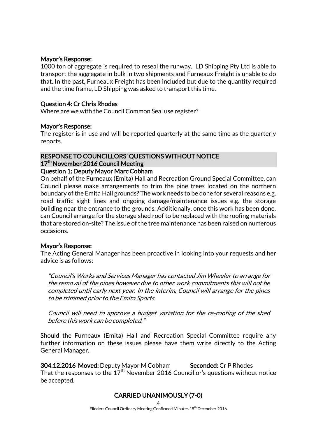### Mayor's Response:

1000 ton of aggregate is required to reseal the runway. LD Shipping Pty Ltd is able to transport the aggregate in bulk in two shipments and Furneaux Freight is unable to do that. In the past, Furneaux Freight has been included but due to the quantity required and the time frame, LD Shipping was asked to transport this time.

### Question 4: Cr Chris Rhodes

Where are we with the Council Common Seal use register?

### Mayor's Response:

The register is in use and will be reported quarterly at the same time as the quarterly reports.

# RESPONSE TO COUNCILLORS' QUESTIONS WITHOUT NOTICE 17<sup>th</sup> November 2016 Council Meeting

# Question 1: Deputy Mayor Marc Cobham

On behalf of the Furneaux (Emita) Hall and Recreation Ground Special Committee, can Council please make arrangements to trim the pine trees located on the northern boundary of the Emita Hall grounds? The work needs to be done for several reasons e.g. road traffic sight lines and ongoing damage/maintenance issues e.g. the storage building near the entrance to the grounds. Additionally, once this work has been done, can Council arrange for the storage shed roof to be replaced with the roofing materials that are stored on-site? The issue of the tree maintenance has been raised on numerous occasions.

### Mayor's Response:

The Acting General Manager has been proactive in looking into your requests and her advice is as follows:

"Council's Works and Services Manager has contacted Jim Wheeler to arrange for the removal of the pines however due to other work commitments this will not be completed until early next year. In the interim, Council will arrange for the pines to be trimmed prior to the Emita Sports.

Council will need to approve a budget variation for the re-roofing of the shed before this work can be completed."

Should the Furneaux (Emita) Hall and Recreation Special Committee require any further information on these issues please have them write directly to the Acting General Manager.

304.12.2016 Moved: Deputy Mayor M Cobham Seconded: Cr P Rhodes That the responses to the  $17<sup>th</sup>$  November 2016 Councillor's questions without notice be accepted.

# CARRIED UNANIMOUSLY (7-0)

4

Flinders Council Ordinary Meeting Confirmed Minutes 15<sup>th</sup> December 2016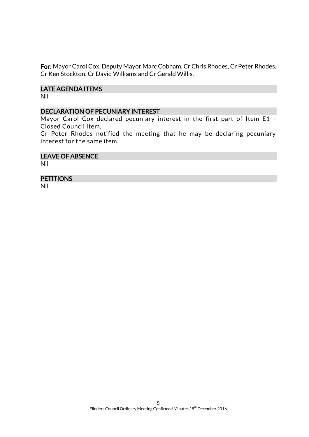For: Mayor Carol Cox, Deputy Mayor Marc Cobham, Cr Chris Rhodes, Cr Peter Rhodes, Cr Ken Stockton, Cr David Williams and Cr Gerald Willis.

### LATE AGENDA ITEMS

Nil

### DECLARATION OF PECUNIARY INTEREST

Mayor Carol Cox declared pecuniary interest in the first part of Item E1 -Closed Council Item.

Cr Peter Rhodes notified the meeting that he may be declaring pecuniary interest for the same item.

### LEAVE OF ABSENCE

Nil

### **PETITIONS**

Nil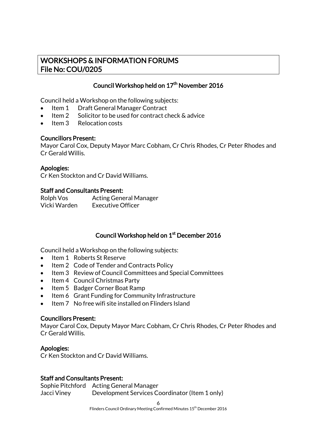# WORKSHOPS & INFORMATION FORUMS File No: COU/0205

# Council Workshop held on 17<sup>th</sup> November 2016

Council held a Workshop on the following subjects:

- Item 1 Draft General Manager Contract
- Item 2 Solicitor to be used for contract check & advice
- Item 3 Relocation costs

### Councillors Present:

Mayor Carol Cox, Deputy Mayor Marc Cobham, Cr Chris Rhodes, Cr Peter Rhodes and Cr Gerald Willis.

# Apologies:

Cr Ken Stockton and Cr David Williams.

### Staff and Consultants Present:

| Rolph Vos    | <b>Acting General Manager</b> |
|--------------|-------------------------------|
| Vicki Warden | <b>Executive Officer</b>      |

# Council Workshop held on 1<sup>st</sup> December 2016

Council held a Workshop on the following subjects:

- Item 1 Roberts St Reserve
- Item 2 Code of Tender and Contracts Policy
- Item 3 Review of Council Committees and Special Committees
- Item 4 Council Christmas Party
- Item 5 Badger Corner Boat Ramp
- Item 6 Grant Funding for Community Infrastructure
- Item 7 No free wifi site installed on Flinders Island

### Councillors Present:

Mayor Carol Cox, Deputy Mayor Marc Cobham, Cr Chris Rhodes, Cr Peter Rhodes and Cr Gerald Willis.

# Apologies:

Cr Ken Stockton and Cr David Williams.

# Staff and Consultants Present:

Sophie Pitchford Acting General Manager Jacci Viney Development Services Coordinator (Item 1 only)

6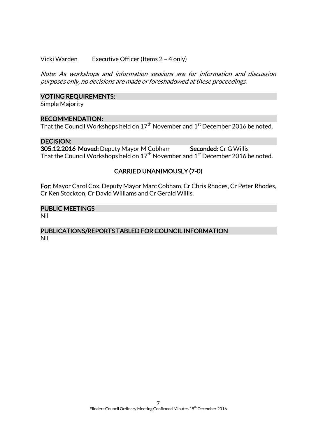### Vicki Warden Executive Officer (Items 2 – 4 only)

Note: As workshops and information sessions are for information and discussion purposes only, no decisions are made or foreshadowed at these proceedings.

### VOTING REQUIREMENTS:

Simple Majority

### RECOMMENDATION:

That the Council Workshops held on  $17^{\rm th}$  November and  $1^{\rm st}$  December 2016 be noted.

### DECISION:

305.12.2016 Moved: Deputy Mayor M Cobham Seconded: Cr G Willis That the Council Workshops held on  $17^{\rm th}$  November and  $1^{\rm st}$  December 2016 be noted.

# CARRIED UNANIMOUSLY (7-0)

For: Mayor Carol Cox, Deputy Mayor Marc Cobham, Cr Chris Rhodes, Cr Peter Rhodes, Cr Ken Stockton, Cr David Williams and Cr Gerald Willis.

# PUBLIC MEETINGS

Nil

### PUBLICATIONS/REPORTS TABLED FOR COUNCIL INFORMATION Nil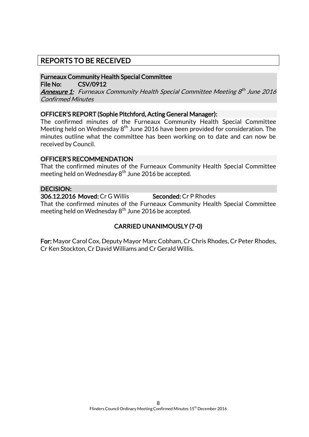# REPORTS TO BE RECEIVED

Furneaux Community Health Special Committee File No: CSV/0912

**<u>Annexure 1:</u> Furneaux Community Health Special Committee Meeting 8<sup>th</sup> June 2016** Confirmed Minutes

### OFFICER'S REPORT (Sophie Pitchford, Acting General Manager):

The confirmed minutes of the Furneaux Community Health Special Committee Meeting held on Wednesday  $8<sup>th</sup>$  June 2016 have been provided for consideration. The minutes outline what the committee has been working on to date and can now be received by Council.

### OFFICER'S RECOMMENDATION

That the confirmed minutes of the Furneaux Community Health Special Committee meeting held on Wednesday 8<sup>th</sup> June 2016 be accepted.

### DECISION:

306.12.2016 Moved: Cr G Willis Seconded: Cr P Rhodes

That the confirmed minutes of the Furneaux Community Health Special Committee meeting held on Wednesday  $8<sup>th</sup>$  June 2016 be accepted.

# CARRIED UNANIMOUSLY (7-0)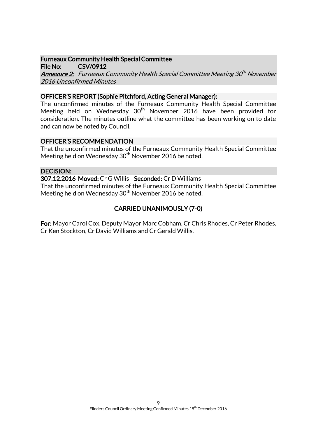### Furneaux Community Health Special Committee

File No: CSV/0912 **<u>Annexure 2:</u> Furneaux Community Health Special Committee Meeting 30<sup>th</sup> November** 2016 Unconfirmed Minutes

# OFFICER'S REPORT (Sophie Pitchford, Acting General Manager):

The unconfirmed minutes of the Furneaux Community Health Special Committee Meeting held on Wednesday 30<sup>th</sup> November 2016 have been provided for consideration. The minutes outline what the committee has been working on to date and can now be noted by Council.

# OFFICER'S RECOMMENDATION

That the unconfirmed minutes of the Furneaux Community Health Special Committee Meeting held on Wednesday  $30<sup>th</sup>$  November 2016 be noted.

# DECISION:

307.12.2016 Moved: Cr G Willis Seconded: Cr D Williams

That the unconfirmed minutes of the Furneaux Community Health Special Committee Meeting held on Wednesday 30<sup>th</sup> November 2016 be noted.

# CARRIED UNANIMOUSLY (7-0)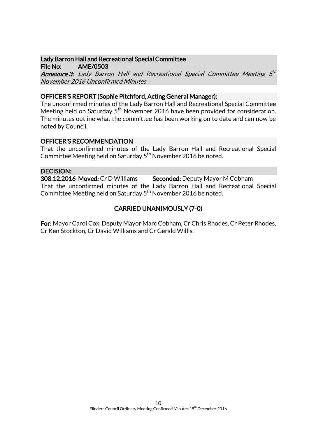### Lady Barron Hall and Recreational Special Committee File No: AME/0503

**<u>Annexure 3:</u>** Lady Barron Hall and Recreational Special Committee Meeting 5<sup>th</sup> November 2016 Unconfirmed Minutes

### OFFICER'S REPORT (Sophie Pitchford, Acting General Manager):

The unconfirmed minutes of the Lady Barron Hall and Recreational Special Committee Meeting held on Saturday 5<sup>th</sup> November 2016 have been provided for consideration. The minutes outline what the committee has been working on to date and can now be noted by Council.

### OFFICER'S RECOMMENDATION

That the unconfirmed minutes of the Lady Barron Hall and Recreational Special Committee Meeting held on Saturday 5<sup>th</sup> November 2016 be noted.

### DECISION:

308.12.2016 Moved: Cr D Williams Seconded: Deputy Mayor M Cobham That the unconfirmed minutes of the Lady Barron Hall and Recreational Special Committee Meeting held on Saturday  $5<sup>th</sup>$  November 2016 be noted.

# CARRIED UNANIMOUSLY (7-0)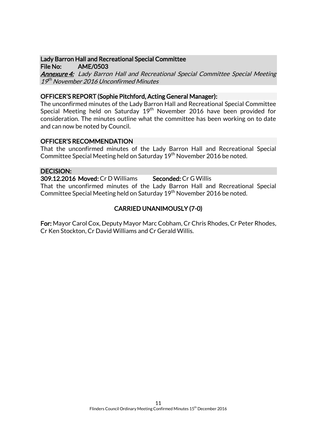### Lady Barron Hall and Recreational Special Committee File No: AME/0503

Annexure 4: Lady Barron Hall and Recreational Special Committee Special Meeting 19<sup>th</sup> November 2016 Unconfirmed Minutes

### OFFICER'S REPORT (Sophie Pitchford, Acting General Manager):

The unconfirmed minutes of the Lady Barron Hall and Recreational Special Committee Special Meeting held on Saturday 19<sup>th</sup> November 2016 have been provided for consideration. The minutes outline what the committee has been working on to date and can now be noted by Council.

### OFFICER'S RECOMMENDATION

That the unconfirmed minutes of the Lady Barron Hall and Recreational Special Committee Special Meeting held on Saturday 19th November 2016 be noted.

### DECISION:

309.12.2016 Moved: Cr D Williams Seconded: Cr G Willis That the unconfirmed minutes of the Lady Barron Hall and Recreational Special Committee Special Meeting held on Saturday 19<sup>th</sup> November 2016 be noted.

# CARRIED UNANIMOUSLY (7-0)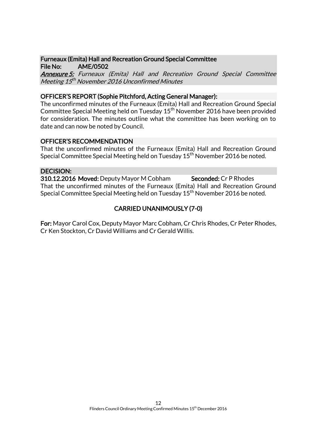### Furneaux (Emita) Hall and Recreation Ground Special Committee File No: AME/0502

Annexure 5: Furneaux (Emita) Hall and Recreation Ground Special Committee Meeting 15<sup>th</sup> November 2016 Unconfirmed Minutes

# OFFICER'S REPORT (Sophie Pitchford, Acting General Manager):

The unconfirmed minutes of the Furneaux (Emita) Hall and Recreation Ground Special Committee Special Meeting held on Tuesday  $15^{\text{th}}$  November 2016 have been provided for consideration. The minutes outline what the committee has been working on to date and can now be noted by Council.

### OFFICER'S RECOMMENDATION

That the unconfirmed minutes of the Furneaux (Emita) Hall and Recreation Ground Special Committee Special Meeting held on Tuesday  $15<sup>th</sup>$  November 2016 be noted.

### DECISION:

310.12.2016 Moved: Deputy Mayor M Cobham Seconded: Cr P Rhodes That the unconfirmed minutes of the Furneaux (Emita) Hall and Recreation Ground Special Committee Special Meeting held on Tuesday  $15<sup>th</sup>$  November 2016 be noted.

# CARRIED UNANIMOUSLY (7-0)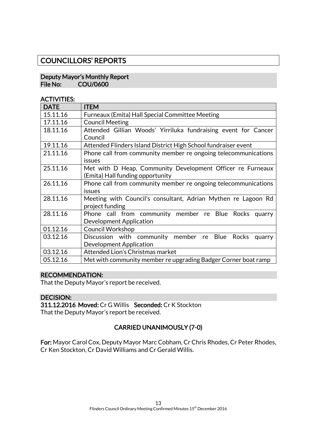# COUNCILLORS' REPORTS

### Deputy Mayor's Monthly Report File No: COU/0600

### ACTIVITIES:

| <b>DATE</b> | <b>ITEM</b>                                                    |  |
|-------------|----------------------------------------------------------------|--|
| 15.11.16    | Furneaux (Emita) Hall Special Committee Meeting                |  |
| 17.11.16    | <b>Council Meeting</b>                                         |  |
| 18.11.16    | Attended Gillian Woods' Yirriluka fundraising event for Cancer |  |
|             | Council                                                        |  |
| 19.11.16    | Attended Flinders Island District High School fundraiser event |  |
| 21.11.16    | Phone call from community member re ongoing telecommunications |  |
|             | issues                                                         |  |
| 25.11.16    | Met with D Heap, Community Development Officer re Furneaux     |  |
|             | (Emita) Hall funding opportunity                               |  |
| 26.11.16    | Phone call from community member re ongoing telecommunications |  |
|             | issues                                                         |  |
| 28.11.16    | Meeting with Council's consultant, Adrian Mythen re Lagoon Rd  |  |
|             | project funding                                                |  |
| 28.11.16    | Phone call from community member re Blue Rocks<br>quarry       |  |
|             | Development Application                                        |  |
| 01.12.16    | <b>Council Workshop</b>                                        |  |
| 03.12.16    | Discussion with community member re Blue Rocks<br>quarry       |  |
|             | Development Application                                        |  |
| 03.12.16    | Attended Lion's Christmas market                               |  |
| 05.12.16    | Met with community member re upgrading Badger Corner boat ramp |  |

# RECOMMENDATION:

That the Deputy Mayor's report be received.

### DECISION:

311.12.2016 Moved: Cr G Willis Seconded: Cr K Stockton That the Deputy Mayor's report be received.

# CARRIED UNANIMOUSLY (7-0)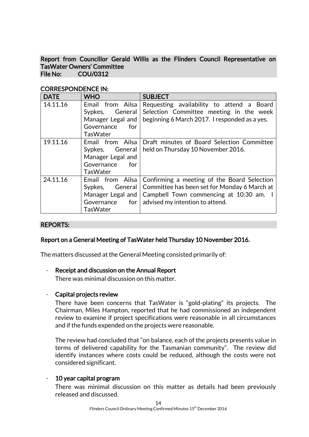Report from Councillor Gerald Willis as the Flinders Council Representative on TasWater Owners' Committee File No: COU/0312

| <b>DATE</b> | <b>WHO</b>                                                                                          | <b>SUBJECT</b>                                                                                                                                                                                            |
|-------------|-----------------------------------------------------------------------------------------------------|-----------------------------------------------------------------------------------------------------------------------------------------------------------------------------------------------------------|
| 14.11.16    | Email from Ailsa<br>Sypkes,<br>General<br>Manager Legal and<br>Governance<br>for<br><b>TasWater</b> | Requesting availability to attend a Board<br>Selection Committee meeting in the week<br>beginning 6 March 2017. I responded as a yes.                                                                     |
| 19.11.16    | Email from Ailsa<br>Sypkes,<br>General<br>Manager Legal and<br>Governance<br>for<br><b>TasWater</b> | Draft minutes of Board Selection Committee<br>held on Thursday 10 November 2016.                                                                                                                          |
| 24.11.16    | Email from Ailsa<br>General<br>Sypkes,<br>Governance<br><b>TasWater</b>                             | Confirming a meeting of the Board Selection<br>Committee has been set for Monday 6 March at<br>Manager Legal and   Campbell Town commencing at 10:30 am. I<br>for $\vert$ advised my intention to attend. |

# CORRESPONDENCE IN:

### REPORTS:

### Report on a General Meeting of TasWater held Thursday 10 November 2016.

The matters discussed at the General Meeting consisted primarily of:

### - Receipt and discussion on the Annual Report

There was minimal discussion on this matter.

### - Capital projects review

There have been concerns that TasWater is "gold-plating" its projects. The Chairman, Miles Hampton, reported that he had commissioned an independent review to examine if project specifications were reasonable in all circumstances and if the funds expended on the projects were reasonable.

The review had concluded that "on balance, each of the projects presents value in terms of delivered capability for the Tasmanian community". The review did identify instances where costs could be reduced, although the costs were not considered significant.

# 10 year capital program

There was minimal discussion on this matter as details had been previously released and discussed.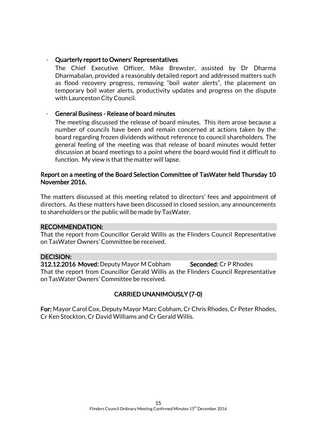### - Quarterly report to Owners' Representatives

The Chief Executive Officer, Mike Brewster, assisted by Dr Dharma Dharmabalan, provided a reasonably detailed report and addressed matters such as flood recovery progress, removing "boil water alerts", the placement on temporary boil water alerts, productivity updates and progress on the dispute with Launceston City Council.

### - General Business - Release of board minutes

The meeting discussed the release of board minutes. This item arose because a number of councils have been and remain concerned at actions taken by the board regarding frozen dividends without reference to council shareholders. The general feeling of the meeting was that release of board minutes would fetter discussion at board meetings to a point where the board would find it difficult to function. My view is that the matter will lapse.

### Report on a meeting of the Board Selection Committee of TasWater held Thursday 10 November 2016.

The matters discussed at this meeting related to directors' fees and appointment of directors. As these matters have been discussed in closed session, any announcements to shareholders or the public will be made by TasWater.

### RECOMMENDATION:

That the report from Councillor Gerald Willis as the Flinders Council Representative on TasWater Owners' Committee be received.

### DECISION:

312.12.2016 Moved: Deputy Mayor M Cobham Seconded: Cr P Rhodes That the report from Councillor Gerald Willis as the Flinders Council Representative on TasWater Owners' Committee be received.

# CARRIED UNANIMOUSLY (7-0)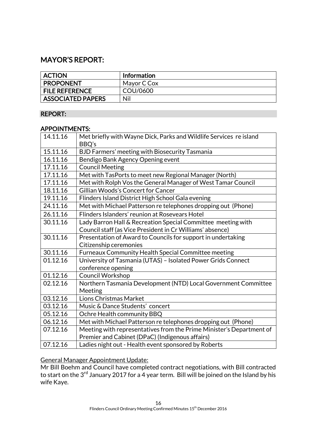# MAYOR'S REPORT:

| <b>ACTION</b>            | <b>Information</b> |
|--------------------------|--------------------|
| <b>PROPONENT</b>         | Mayor C Cox        |
| <b>FILE REFERENCE</b>    | COU/0600           |
| <b>ASSOCIATED PAPERS</b> | Nil                |

### REPORT:

### APPOINTMENTS:

| 14.11.16 | Met briefly with Wayne Dick, Parks and Wildlife Services re island<br>BBQ's |
|----------|-----------------------------------------------------------------------------|
| 15.11.16 | BJD Farmers' meeting with Biosecurity Tasmania                              |
| 16.11.16 | Bendigo Bank Agency Opening event                                           |
| 17.11.16 | <b>Council Meeting</b>                                                      |
| 17.11.16 | Met with TasPorts to meet new Regional Manager (North)                      |
| 17.11.16 | Met with Rolph Vos the General Manager of West Tamar Council                |
| 18.11.16 | Gillian Woods's Concert for Cancer                                          |
| 19.11.16 | Flinders Island District High School Gala evening                           |
| 24.11.16 | Met with Michael Patterson re telephones dropping out (Phone)               |
| 26.11.16 | Flinders Islanders' reunion at Rosevears Hotel                              |
| 30.11.16 | Lady Barron Hall & Recreation Special Committee meeting with                |
|          | Council staff (as Vice President in Cr Williams' absence)                   |
| 30.11.16 | Presentation of Award to Councils for support in undertaking                |
|          | Citizenship ceremonies                                                      |
| 30.11.16 | Furneaux Community Health Special Committee meeting                         |
| 01.12.16 | University of Tasmania (UTAS) - Isolated Power Grids Connect                |
|          | conference opening                                                          |
| 01.12.16 | Council Workshop                                                            |
| 02.12.16 | Northern Tasmania Development (NTD) Local Government Committee              |
|          | <b>Meeting</b>                                                              |
| 03.12.16 | <b>Lions Christmas Market</b>                                               |
| 03.12.16 | Music & Dance Students' concert                                             |
| 05.12.16 | Ochre Health community BBQ                                                  |
| 06.12.16 | Met with Michael Patterson re telephones dropping out (Phone)               |
| 07.12.16 | Meeting with representatives from the Prime Minister's Department of        |
|          | Premier and Cabinet (DPaC) (Indigenous affairs)                             |
| 07.12.16 | Ladies night out - Health event sponsored by Roberts                        |

# General Manager Appointment Update:

Mr Bill Boehm and Council have completed contract negotiations, with Bill contracted to start on the 3 $^{\rm rd}$  January 2017 for a 4 year term. Bill will be joined on the Island by his wife Kaye.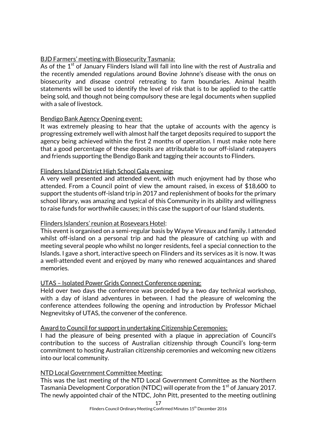# BJD Farmers' meeting with Biosecurity Tasmania:

As of the  $1<sup>st</sup>$  of January Flinders Island will fall into line with the rest of Australia and the recently amended regulations around Bovine Johnne's disease with the onus on biosecurity and disease control retreating to farm boundaries. Animal health statements will be used to identify the level of risk that is to be applied to the cattle being sold, and though not being compulsory these are legal documents when supplied with a sale of livestock.

# Bendigo Bank Agency Opening event:

It was extremely pleasing to hear that the uptake of accounts with the agency is progressing extremely well with almost half the target deposits required to support the agency being achieved within the first 2 months of operation. I must make note here that a good percentage of these deposits are attributable to our off-island ratepayers and friends supporting the Bendigo Bank and tagging their accounts to Flinders.

# Flinders Island District High School Gala evening:

A very well presented and attended event, with much enjoyment had by those who attended. From a Council point of view the amount raised, in excess of \$18,600 to support the students off-island trip in 2017 and replenishment of books for the primary school library, was amazing and typical of this Community in its ability and willingness to raise funds for worthwhile causes; in this case the support of our Island students.

# Flinders Islanders' reunion at Rosevears Hotel:

This event is organised on a semi-regular basis by Wayne Vireaux and family. I attended whilst off-island on a personal trip and had the pleasure of catching up with and meeting several people who whilst no longer residents, feel a special connection to the Islands. I gave a short, interactive speech on Flinders and its services as it is now. It was a well-attended event and enjoyed by many who renewed acquaintances and shared memories.

# UTAS – Isolated Power Grids Connect Conference opening:

Held over two days the conference was preceded by a two day technical workshop, with a day of island adventures in between. I had the pleasure of welcoming the conference attendees following the opening and introduction by Professor Michael Negnevitsky of UTAS, the convener of the conference.

# Award to Council for support in undertaking Citizenship Ceremonies:

I had the pleasure of being presented with a plaque in appreciation of Council's contribution to the success of Australian citizenship through Council's long-term commitment to hosting Australian citizenship ceremonies and welcoming new citizens into our local community.

# NTD Local Government Committee Meeting:

This was the last meeting of the NTD Local Government Committee as the Northern Tasmania Development Corporation (NTDC) will operate from the  $1<sup>st</sup>$  of January 2017. The newly appointed chair of the NTDC, John Pitt, presented to the meeting outlining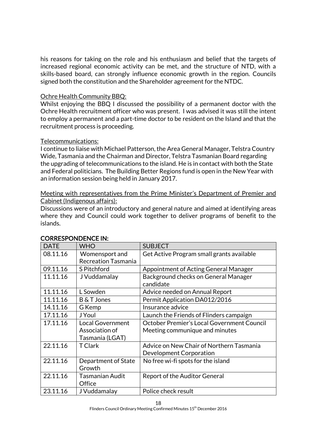his reasons for taking on the role and his enthusiasm and belief that the targets of increased regional economic activity can be met, and the structure of NTD, with a skills-based board, can strongly influence economic growth in the region. Councils signed both the constitution and the Shareholder agreement for the NTDC.

### Ochre Health Community BBQ:

Whilst enjoying the BBQ I discussed the possibility of a permanent doctor with the Ochre Health recruitment officer who was present. I was advised it was still the intent to employ a permanent and a part-time doctor to be resident on the Island and that the recruitment process is proceeding.

### Telecommunications:

I continue to liaise with Michael Patterson, the Area General Manager, Telstra Country Wide, Tasmania and the Chairman and Director, Telstra Tasmanian Board regarding the upgrading of telecommunications to the island. He is in contact with both the State and Federal politicians. The Building Better Regions fund is open in the New Year with an information session being held in January 2017.

### Meeting with representatives from the Prime Minister's Department of Premier and Cabinet (Indigenous affairs):

Discussions were of an introductory and general nature and aimed at identifying areas where they and Council could work together to deliver programs of benefit to the islands.

| <b>DATE</b> | <b>WHO</b>                 | <b>SUBJECT</b>                             |
|-------------|----------------------------|--------------------------------------------|
| 08.11.16    | Womensport and             | Get Active Program small grants available  |
|             | <b>Recreation Tasmania</b> |                                            |
| 09.11.16    | S Pitchford                | Appointment of Acting General Manager      |
| 11.11.16    | J Vuddamalay               | Background checks on General Manager       |
|             |                            | candidate                                  |
| 11.11.16    | L Sowden                   | Advice needed on Annual Report             |
| 11.11.16    | B & T Jones                | Permit Application DA012/2016              |
| 14.11.16    | G Kemp                     | Insurance advice                           |
| 17.11.16    | J Youl                     | Launch the Friends of Flinders campaign    |
| 17.11.16    | <b>Local Government</b>    | October Premier's Local Government Council |
|             | Association of             | Meeting communique and minutes             |
|             | Tasmania (LGAT)            |                                            |
| 22.11.16    | <b>T</b> Clark             | Advice on New Chair of Northern Tasmania   |
|             |                            | Development Corporation                    |
| 22.11.16    | Department of State        | No free wi-fi spots for the island         |
|             | Growth                     |                                            |
| 22.11.16    | <b>Tasmanian Audit</b>     | Report of the Auditor General              |
|             | Office                     |                                            |
| 23.11.16    | J Vuddamalay               | Police check result                        |

### CORRESPONDENCE IN:

Flinders Council Ordinary Meeting Confirmed Minutes 15<sup>th</sup> December 2016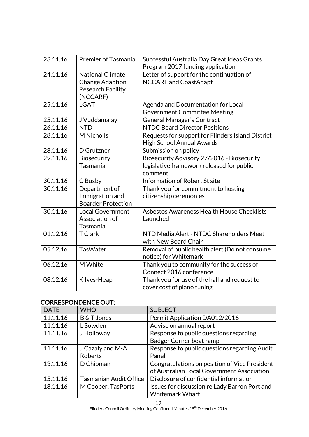| 23.11.16 | <b>Premier of Tasmania</b> | Successful Australia Day Great Ideas Grants       |
|----------|----------------------------|---------------------------------------------------|
|          |                            | Program 2017 funding application                  |
| 24.11.16 | <b>National Climate</b>    | Letter of support for the continuation of         |
|          | <b>Change Adaption</b>     | <b>NCCARF and CoastAdapt</b>                      |
|          | <b>Research Facility</b>   |                                                   |
|          | (NCCARF)                   |                                                   |
| 25.11.16 | <b>LGAT</b>                | Agenda and Documentation for Local                |
|          |                            | <b>Government Committee Meeting</b>               |
| 25.11.16 | J Vuddamalay               | General Manager's Contract                        |
| 26.11.16 | <b>NTD</b>                 | <b>NTDC Board Director Positions</b>              |
| 28.11.16 | <b>M</b> Nicholls          | Requests for support for Flinders Island District |
|          |                            | High School Annual Awards                         |
| 28.11.16 | D Grutzner                 | Submission on policy                              |
| 29.11.16 | <b>Biosecurity</b>         | Biosecurity Advisory 27/2016 - Biosecurity        |
|          | Tasmania                   | legislative framework released for public         |
|          |                            | comment                                           |
| 30.11.16 | C Busby                    | Information of Robert St site                     |
| 30.11.16 | Department of              | Thank you for commitment to hosting               |
|          | Immigration and            | citizenship ceremonies                            |
|          | <b>Boarder Protection</b>  |                                                   |
| 30.11.16 | <b>Local Government</b>    | Asbestos Awareness Health House Checklists        |
|          | Association of             | Launched                                          |
|          | Tasmania                   |                                                   |
| 01.12.16 | <b>T</b> Clark             | NTD Media Alert - NTDC Shareholders Meet          |
|          |                            | with New Board Chair                              |
| 05.12.16 | <b>TasWater</b>            |                                                   |
|          |                            | Removal of public health alert (Do not consume    |
|          |                            | notice) for Whitemark                             |
| 06.12.16 | M White                    | Thank you to community for the success of         |
|          |                            | Connect 2016 conference                           |
| 08.12.16 | K Ives-Heap                | Thank you for use of the hall and request to      |
|          |                            | cover cost of piano tuning                        |

# CORRESPONDENCE OUT:

| <b>DATE</b> | <b>WHO</b>                    | <b>SUBJECT</b>                                |
|-------------|-------------------------------|-----------------------------------------------|
| 11.11.16    | <b>B&amp;T Jones</b>          | Permit Application DA012/2016                 |
| 11.11.16    | L Sowden                      | Advise on annual report                       |
| 11.11.16    | <b>J</b> Holloway             | Response to public questions regarding        |
|             |                               | Badger Corner boat ramp                       |
| 11.11.16    | J Cazaly and M-A              | Response to public questions regarding Audit  |
|             | Roberts                       | Panel                                         |
| 13.11.16    | D Chipman                     | Congratulations on position of Vice President |
|             |                               | of Australian Local Government Association    |
| 15.11.16    | <b>Tasmanian Audit Office</b> | Disclosure of confidential information        |
| 18.11.16    | M Cooper, TasPorts            | Issues for discussion re Lady Barron Port and |
|             |                               | <b>Whitemark Wharf</b>                        |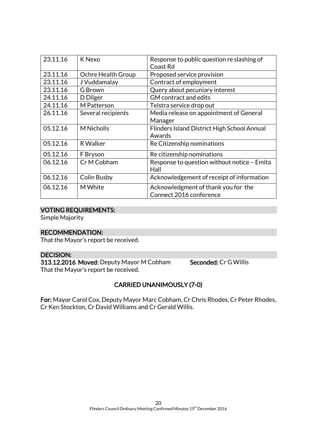| 23.11.16 | K Nexo             | Response to public question re slashing of<br>Coast Rd |
|----------|--------------------|--------------------------------------------------------|
| 23.11.16 | Ochre Health Group | Proposed service provision                             |
| 23.11.16 | J Vuddamalay       | Contract of employment                                 |
| 23.11.16 | G Brown            | Query about pecuniary interest                         |
| 24.11.16 | D Dilger           | <b>GM</b> contract and edits                           |
| 24.11.16 | M Patterson        | Telstra service drop out                               |
| 26.11.16 | Several recipients | Media release on appointment of General                |
|          |                    | Manager                                                |
| 05.12.16 | <b>M</b> Nicholls  | Flinders Island District High School Annual            |
|          |                    | Awards                                                 |
| 05.12.16 | R Walker           | Re Citizenship nominations                             |
| 05.12.16 | F Bryson           | Re citizenship nominations                             |
| 06.12.16 | Cr M Cobham        | Response to question without notice - Emita            |
|          |                    | Hall                                                   |
| 06.12.16 | Colin Busby        | Acknowledgement of receipt of information              |
| 06.12.16 | M White            | Acknowledgment of thank you for the                    |
|          |                    | Connect 2016 conference                                |

# VOTING REQUIREMENTS:

Simple Majority

# RECOMMENDATION:

That the Mayor's report be received.

# DECISION:

313.12.2016 Moved: Deputy Mayor M Cobham Seconded: Cr G Willis That the Mayor's report be received.

# CARRIED UNANIMOUSLY (7-0)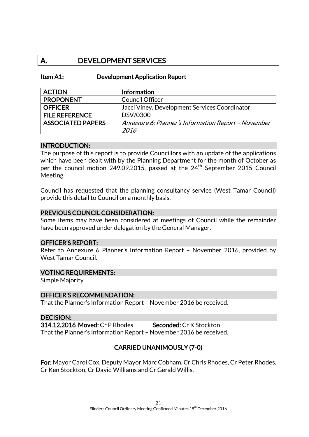# A. DEVELOPMENT SERVICES

Item A1: Development Application Report

| <b>ACTION</b>            | <b>Information</b>                                  |
|--------------------------|-----------------------------------------------------|
| <b>PROPONENT</b>         | <b>Council Officer</b>                              |
| <b>OFFICER</b>           | Jacci Viney, Development Services Coordinator       |
| <b>FILE REFERENCE</b>    | DSV/0300                                            |
| <b>ASSOCIATED PAPERS</b> | Annexure 6: Planner's Information Report - November |
|                          | 2016                                                |

### INTRODUCTION:

The purpose of this report is to provide Councillors with an update of the applications which have been dealt with by the Planning Department for the month of October as per the council motion 249.09.2015, passed at the 24<sup>th</sup> September 2015 Council Meeting.

Council has requested that the planning consultancy service (West Tamar Council) provide this detail to Council on a monthly basis.

### PREVIOUS COUNCIL CONSIDERATION:

Some items may have been considered at meetings of Council while the remainder have been approved under delegation by the General Manager.

### OFFICER'S REPORT:

Refer to Annexure 6 Planner's Information Report – November 2016, provided by West Tamar Council.

#### VOTING REQUIREMENTS:

Simple Majority

#### OFFICER'S RECOMMENDATION:

That the Planner's Information Report – November 2016 be received.

#### DECISION:

314.12.2016 Moved: Cr P Rhodes Seconded: Cr K Stockton That the Planner's Information Report – November 2016 be received.

# CARRIED UNANIMOUSLY (7-0)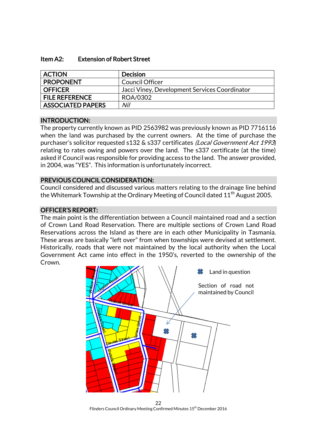### Item A2: Extension of Robert Street

| <b>ACTION</b>            | Decision                                      |
|--------------------------|-----------------------------------------------|
| <b>PROPONENT</b>         | <b>Council Officer</b>                        |
| <b>OFFICER</b>           | Jacci Viney, Development Services Coordinator |
| <b>FILE REFERENCE</b>    | ROA/0302                                      |
| <b>ASSOCIATED PAPERS</b> | Nil                                           |

### INTRODUCTION:

The property currently known as PID 2563982 was previously known as PID 7716116 when the land was purchased by the current owners. At the time of purchase the purchaser's solicitor requested s132 & s337 certificates (Local Government Act 1993) relating to rates owing and powers over the land. The s337 certificate (at the time) asked if Council was responsible for providing access to the land. The answer provided, in 2004, was "YES". This information is unfortunately incorrect.

### PREVIOUS COUNCIL CONSIDERATION:

Council considered and discussed various matters relating to the drainage line behind the Whitemark Township at the Ordinary Meeting of Council dated 11<sup>th</sup> August 2005.

### OFFICER'S REPORT:

The main point is the differentiation between a Council maintained road and a section of Crown Land Road Reservation. There are multiple sections of Crown Land Road Reservations across the Island as there are in each other Municipality in Tasmania. These areas are basically "left over" from when townships were devised at settlement. Historically, roads that were not maintained by the local authority when the Local Government Act came into effect in the 1950's, reverted to the ownership of the Crown.



22 Flinders Council Ordinary Meeting Confirmed Minutes 15<sup>th</sup> December 2016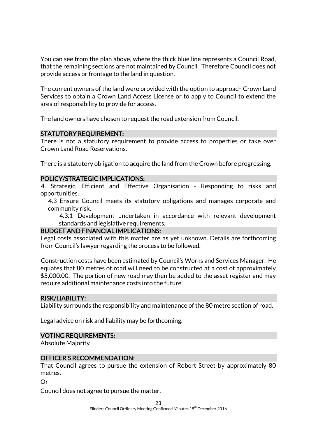You can see from the plan above, where the thick blue line represents a Council Road, that the remaining sections are not maintained by Council. Therefore Council does not provide access or frontage to the land in question.

The current owners of the land were provided with the option to approach Crown Land Services to obtain a Crown Land Access License or to apply to Council to extend the area of responsibility to provide for access.

The land owners have chosen to request the road extension from Council.

### STATUTORY REQUIREMENT:

There is not a statutory requirement to provide access to properties or take over Crown Land Road Reservations.

There is a statutory obligation to acquire the land from the Crown before progressing.

### POLICY/STRATEGIC IMPLICATIONS:

4. Strategic, Efficient and Effective Organisation - Responding to risks and opportunities.

4.3 Ensure Council meets its statutory obligations and manages corporate and community risk.

4.3.1 Development undertaken in accordance with relevant development standards and legislative requirements.

### BUDGET AND FINANCIAL IMPLICATIONS:

Legal costs associated with this matter are as yet unknown. Details are forthcoming from Council's lawyer regarding the process to be followed.

Construction costs have been estimated by Council's Works and Services Manager. He equates that 80 metres of road will need to be constructed at a cost of approximately \$5,000.00. The portion of new road may then be added to the asset register and may require additional maintenance costs into the future.

#### RISK/LIABILITY:

Liability surrounds the responsibility and maintenance of the 80 metre section of road.

Legal advice on risk and liability may be forthcoming.

### VOTING REQUIREMENTS:

Absolute Majority

### OFFICER'S RECOMMENDATION:

That Council agrees to pursue the extension of Robert Street by approximately 80 metres.

Or

Council does not agree to pursue the matter.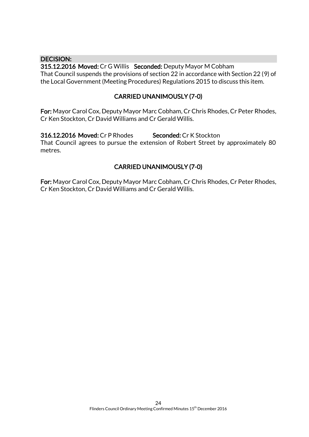### DECISION:

315.12.2016 Moved: Cr G Willis Seconded: Deputy Mayor M Cobham That Council suspends the provisions of section 22 in accordance with Section 22 (9) of the Local Government (Meeting Procedures) Regulations 2015 to discuss this item.

### CARRIED UNANIMOUSLY (7-0)

For: Mayor Carol Cox, Deputy Mayor Marc Cobham, Cr Chris Rhodes, Cr Peter Rhodes, Cr Ken Stockton, Cr David Williams and Cr Gerald Willis.

316.12.2016 Moved: Cr P Rhodes Seconded: Cr K Stockton That Council agrees to pursue the extension of Robert Street by approximately 80 metres.

# CARRIED UNANIMOUSLY (7-0)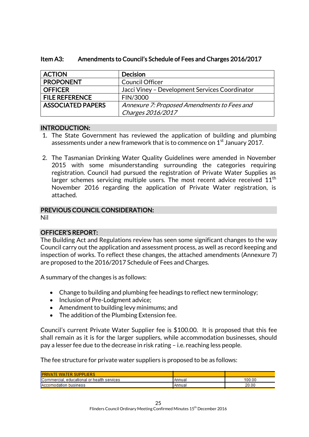| <b>ACTION</b>            | <b>Decision</b>                                |
|--------------------------|------------------------------------------------|
| <b>PROPONENT</b>         | <b>Council Officer</b>                         |
| <b>OFFICER</b>           | Jacci Viney - Development Services Coordinator |
| <b>FILE REFERENCE</b>    | FIN/3000                                       |
| <b>ASSOCIATED PAPERS</b> | Annexure 7: Proposed Amendments to Fees and    |
|                          | Charges 2016/2017                              |

# Item A3: Amendments to Council's Schedule of Fees and Charges 2016/2017

# INTRODUCTION:

- 1. The State Government has reviewed the application of building and plumbing assessments under a new framework that is to commence on  $1<sup>st</sup>$  January 2017.
- 2. The Tasmanian Drinking Water Quality Guidelines were amended in November 2015 with some misunderstanding surrounding the categories requiring registration. Council had pursued the registration of Private Water Supplies as larger schemes servicing multiple users. The most recent advice received  $11<sup>th</sup>$ November 2016 regarding the application of Private Water registration, is attached.

# PREVIOUS COUNCIL CONSIDERATION:

Nil

# OFFICER'S REPORT:

The Building Act and Regulations review has seen some significant changes to the way Council carry out the application and assessment process, as well as record keeping and inspection of works. To reflect these changes, the attached amendments (Annexure 7) are proposed to the 2016/2017 Schedule of Fees and Charges.

A summary of the changes is as follows:

- Change to building and plumbing fee headings to reflect new terminology;
- Inclusion of Pre-Lodgment advice;
- Amendment to building levy minimums; and
- The addition of the Plumbing Extension fee.

Council's current Private Water Supplier fee is \$100.00. It is proposed that this fee shall remain as it is for the larger suppliers, while accommodation businesses, should pay a lesser fee due to the decrease in risk rating – i.e. reaching less people.

The fee structure for private water suppliers is proposed to be as follows:

| <b>IPRIVATE WATER SUPPLIERS</b>            |               |        |
|--------------------------------------------|---------------|--------|
| Commercial, educational or health services | Annual        | 100.00 |
| <b>IAccomodation business</b>              | <b>Annual</b> | 20.00  |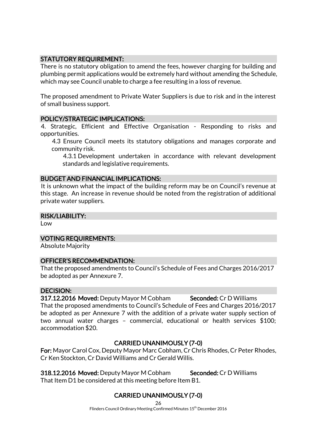# STATUTORY REQUIREMENT:

There is no statutory obligation to amend the fees, however charging for building and plumbing permit applications would be extremely hard without amending the Schedule, which may see Council unable to charge a fee resulting in a loss of revenue.

The proposed amendment to Private Water Suppliers is due to risk and in the interest of small business support.

# POLICY/STRATEGIC IMPLICATIONS:

4. Strategic, Efficient and Effective Organisation - Responding to risks and opportunities.

4.3 Ensure Council meets its statutory obligations and manages corporate and community risk.

4.3.1 Development undertaken in accordance with relevant development standards and legislative requirements.

### BUDGET AND FINANCIAL IMPLICATIONS:

It is unknown what the impact of the building reform may be on Council's revenue at this stage. An increase in revenue should be noted from the registration of additional private water suppliers.

### RISK/LIABILITY:

Low

# VOTING REQUIREMENTS:

Absolute Majority

### OFFICER'S RECOMMENDATION:

That the proposed amendments to Council's Schedule of Fees and Charges 2016/2017 be adopted as per Annexure 7.

# DECISION:

317.12.2016 Moved: Deputy Mayor M Cobham Seconded: Cr D Williams That the proposed amendments to Council's Schedule of Fees and Charges 2016/2017 be adopted as per Annexure 7 with the addition of a private water supply section of two annual water charges – commercial, educational or health services \$100; accommodation \$20.

# CARRIED UNANIMOUSLY (7-0)

For: Mayor Carol Cox, Deputy Mayor Marc Cobham, Cr Chris Rhodes, Cr Peter Rhodes, Cr Ken Stockton, Cr David Williams and Cr Gerald Willis.

318.12.2016 Moved: Deputy Mayor M Cobham Seconded: Cr D Williams That Item D1 be considered at this meeting before Item B1.

# CARRIED UNANIMOUSLY (7-0)

26

Flinders Council Ordinary Meeting Confirmed Minutes 15<sup>th</sup> December 2016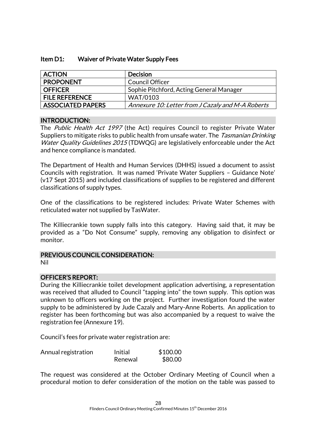| Item D1: | Waiver of Private Water Supply Fees |
|----------|-------------------------------------|
|----------|-------------------------------------|

| <b>ACTION</b>            | <b>Decision</b>                                   |
|--------------------------|---------------------------------------------------|
| <b>PROPONENT</b>         | <b>Council Officer</b>                            |
| <b>OFFICER</b>           | Sophie Pitchford, Acting General Manager          |
| <b>FILE REFERENCE</b>    | <b>WAT/0103</b>                                   |
| <b>ASSOCIATED PAPERS</b> | Annexure 10: Letter from J Cazaly and M-A Roberts |

### INTRODUCTION:

The Public Health Act 1997 (the Act) requires Council to register Private Water Suppliers to mitigate risks to public health from unsafe water. The *Tasmanian Drinking* Water Quality Guidelines 2015 (TDWQG) are legislatively enforceable under the Act and hence compliance is mandated.

The Department of Health and Human Services (DHHS) issued a document to assist Councils with registration. It was named 'Private Water Suppliers – Guidance Note' (v17 Sept 2015) and included classifications of supplies to be registered and different classifications of supply types.

One of the classifications to be registered includes: Private Water Schemes with reticulated water not supplied by TasWater.

The Killiecrankie town supply falls into this category. Having said that, it may be provided as a "Do Not Consume" supply, removing any obligation to disinfect or monitor.

#### PREVIOUS COUNCIL CONSIDERATION:

Nil

### OFFICER'S REPORT:

During the Killiecrankie toilet development application advertising, a representation was received that alluded to Council "tapping into" the town supply. This option was unknown to officers working on the project. Further investigation found the water supply to be administered by Jude Cazaly and Mary-Anne Roberts. An application to register has been forthcoming but was also accompanied by a request to waive the registration fee (Annexure 19).

Council's fees for private water registration are:

| Annual registration | Initial | \$100.00 |
|---------------------|---------|----------|
|                     | Renewal | \$80.00  |

The request was considered at the October Ordinary Meeting of Council when a procedural motion to defer consideration of the motion on the table was passed to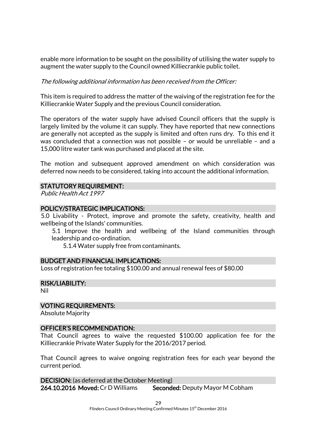enable more information to be sought on the possibility of utilising the water supply to augment the water supply to the Council owned Killiecrankie public toilet.

### The following additional information has been received from the Officer:

This item is required to address the matter of the waiving of the registration fee for the Killiecrankie Water Supply and the previous Council consideration.

The operators of the water supply have advised Council officers that the supply is largely limited by the volume it can supply. They have reported that new connections are generally not accepted as the supply is limited and often runs dry. To this end it was concluded that a connection was not possible – or would be unreliable – and a 15,000 litre water tank was purchased and placed at the site.

The motion and subsequent approved amendment on which consideration was deferred now needs to be considered, taking into account the additional information.

### STATUTORY REQUIREMENT:

Public Health Act 1997

### POLICY/STRATEGIC IMPLICATIONS:

5.0 Livability - Protect, improve and promote the safety, creativity, health and wellbeing of the Islands' communities.

5.1 Improve the health and wellbeing of the Island communities through leadership and co-ordination.

5.1.4 Water supply free from contaminants.

#### BUDGET AND FINANCIAL IMPLICATIONS:

Loss of registration fee totaling \$100.00 and annual renewal fees of \$80.00

# RISK/LIABILITY:

Nil

### VOTING REQUIREMENTS:

Absolute Majority

### OFFICER'S RECOMMENDATION:

That Council agrees to waive the requested \$100.00 application fee for the Killiecrankie Private Water Supply for the 2016/2017 period.

That Council agrees to waive ongoing registration fees for each year beyond the current period.

DECISION: (as deferred at the October Meeting) 264.10.2016 Moved: Cr D Williams Seconded: Deputy Mayor M Cobham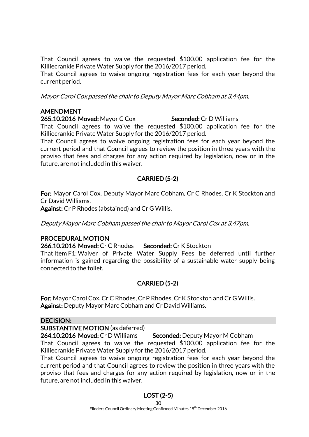That Council agrees to waive the requested \$100.00 application fee for the Killiecrankie Private Water Supply for the 2016/2017 period.

That Council agrees to waive ongoing registration fees for each year beyond the current period.

Mayor Carol Cox passed the chair to Deputy Mayor Marc Cobham at 3.44pm.

# AMENDMENT

### 265.10.2016 Moved: Mayor C Cox Seconded: Cr D Williams

That Council agrees to waive the requested \$100.00 application fee for the Killiecrankie Private Water Supply for the 2016/2017 period.

That Council agrees to waive ongoing registration fees for each year beyond the current period and that Council agrees to review the position in three years with the proviso that fees and charges for any action required by legislation, now or in the future, are not included in this waiver.

# CARRIED (5-2)

For: Mayor Carol Cox, Deputy Mayor Marc Cobham, Cr C Rhodes, Cr K Stockton and Cr David Williams.

Against: Cr P Rhodes (abstained) and Cr G Willis.

Deputy Mayor Marc Cobham passed the chair to Mayor Carol Cox at 3.47pm.

# PROCEDURAL MOTION

266.10.2016 Moved: Cr C Rhodes Seconded: Cr K Stockton

That Item F1:Waiver of Private Water Supply Fees be deferred until further information is gained regarding the possibility of a sustainable water supply being connected to the toilet.

# CARRIED (5-2)

For: Mayor Carol Cox, Cr C Rhodes, Cr P Rhodes, Cr K Stockton and Cr G Willis. Against: Deputy Mayor Marc Cobham and Cr David Williams.

### DECISION:

SUBSTANTIVE MOTION (as deferred)

264.10.2016 Moved: Cr D Williams Seconded: Deputy Mayor M Cobham

That Council agrees to waive the requested \$100.00 application fee for the Killiecrankie Private Water Supply for the 2016/2017 period.

That Council agrees to waive ongoing registration fees for each year beyond the current period and that Council agrees to review the position in three years with the proviso that fees and charges for any action required by legislation, now or in the future, are not included in this waiver.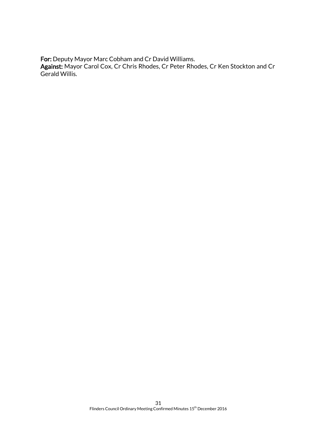For: Deputy Mayor Marc Cobham and Cr David Williams.

Against: Mayor Carol Cox, Cr Chris Rhodes, Cr Peter Rhodes, Cr Ken Stockton and Cr Gerald Willis.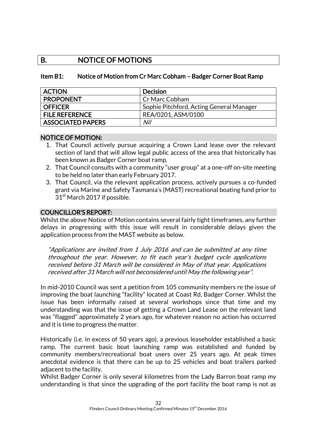# B. NOTICE OF MOTIONS

### Item B1: Notice of Motion from Cr Marc Cobham – Badger Corner Boat Ramp

| <b>ACTION</b>            | <b>Decision</b>                          |
|--------------------------|------------------------------------------|
| <b>PROPONENT</b>         | Cr Marc Cobham                           |
| <b>OFFICER</b>           | Sophie Pitchford, Acting General Manager |
| <b>FILE REFERENCE</b>    | REA/0201, ASM/0100                       |
| <b>ASSOCIATED PAPERS</b> | Nil                                      |

### NOTICE OF MOTION:

- 1. That Council actively pursue acquiring a Crown Land lease over the relevant section of land that will allow legal public access of the area that historically has been known as Badger Corner boat ramp.
- 2. That Council consults with a community "user group" at a one-off on-site meeting to be held no later than early February 2017.
- 3. That Council, via the relevant application process, actively pursues a co-funded grant via Marine and Safety Tasmania's (MAST) recreational boating fund prior to 31<sup>st</sup> March 2017 if possible.

### COUNCILLOR'S REPORT:

Whilst the above Notice of Motion contains several fairly tight timeframes, any further delays in progressing with this issue will result in considerable delays given the application process from the MAST website as below.

"Applications are invited from 1 July 2016 and can be submitted at any time throughout the year. However, to fit each year's budget cycle applications received before 31 March will be considered in May of that year. Applications received after 31 March will not beconsidered until May the following year".

In mid-2010 Council was sent a petition from 105 community members re the issue of improving the boat launching "facility" located at Coast Rd, Badger Corner. Whilst the issue has been informally raised at several workshops since that time and my understanding was that the issue of getting a Crown Land Lease on the relevant land was "flagged" approximately 2 years ago, for whatever reason no action has occurred and it is time to progress the matter.

Historically (i.e. in excess of 50 years ago), a previous leaseholder established a basic ramp. The current basic boat launching ramp was established and funded by community members/recreational boat users over 25 years ago. At peak times anecdotal evidence is that there can be up to 25 vehicles and boat trailers parked adjacent to the facility.

Whilst Badger Corner is only several kilometres from the Lady Barron boat ramp my understanding is that since the upgrading of the port facility the boat ramp is not as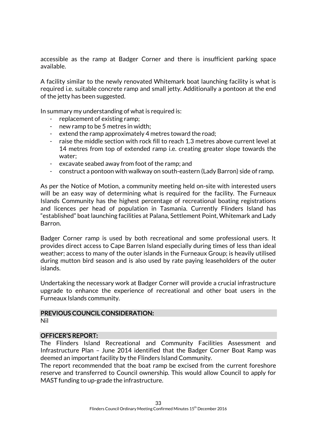accessible as the ramp at Badger Corner and there is insufficient parking space available.

A facility similar to the newly renovated Whitemark boat launching facility is what is required i.e. suitable concrete ramp and small jetty. Additionally a pontoon at the end of the jetty has been suggested.

In summary my understanding of what is required is:

- replacement of existing ramp;
- new ramp to be 5 metres in width;
- extend the ramp approximately 4 metres toward the road;
- raise the middle section with rock fill to reach 1.3 metres above current level at 14 metres from top of extended ramp i.e. creating greater slope towards the water;
- excavate seabed away from foot of the ramp; and
- construct a pontoon with walkway on south-eastern (Lady Barron) side of ramp.

As per the Notice of Motion, a community meeting held on-site with interested users will be an easy way of determining what is required for the facility. The Furneaux Islands Community has the highest percentage of recreational boating registrations and licences per head of population in Tasmania. Currently Flinders Island has "established" boat launching facilities at Palana, Settlement Point, Whitemark and Lady Barron.

Badger Corner ramp is used by both recreational and some professional users. It provides direct access to Cape Barren Island especially during times of less than ideal weather; access to many of the outer islands in the Furneaux Group; is heavily utilised during mutton bird season and is also used by rate paying leaseholders of the outer islands.

Undertaking the necessary work at Badger Corner will provide a crucial infrastructure upgrade to enhance the experience of recreational and other boat users in the Furneaux Islands community.

# PREVIOUS COUNCIL CONSIDERATION:

Nil

### OFFICER'S REPORT:

The Flinders Island Recreational and Community Facilities Assessment and Infrastructure Plan – June 2014 identified that the Badger Corner Boat Ramp was deemed an important facility by the Flinders Island Community.

The report recommended that the boat ramp be excised from the current foreshore reserve and transferred to Council ownership. This would allow Council to apply for MAST funding to up-grade the infrastructure.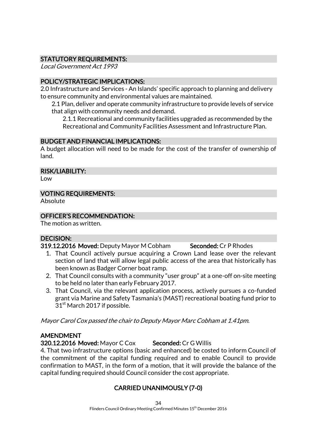# STATUTORY REQUIREMENTS:

Local Government Act 1993

# POLICY/STRATEGIC IMPLICATIONS:

2.0 Infrastructure and Services - An Islands' specific approach to planning and delivery to ensure community and environmental values are maintained.

2.1 Plan, deliver and operate community infrastructure to provide levels of service that align with community needs and demand.

2.1.1 Recreational and community facilities upgraded as recommended by the Recreational and Community Facilities Assessment and Infrastructure Plan.

# BUDGET AND FINANCIAL IMPLICATIONS:

A budget allocation will need to be made for the cost of the transfer of ownership of land.

### RISK/LIABILITY:

Low

# VOTING REQUIREMENTS:

Absolute

# OFFICER'S RECOMMENDATION:

The motion as written.

# DECISION:

319.12.2016 Moved: Deputy Mayor M Cobham Seconded: Cr P Rhodes

- 1. That Council actively pursue acquiring a Crown Land lease over the relevant section of land that will allow legal public access of the area that historically has been known as Badger Corner boat ramp.
- 2. That Council consults with a community "user group" at a one-off on-site meeting to be held no later than early February 2017.
- 3. That Council, via the relevant application process, actively pursues a co-funded grant via Marine and Safety Tasmania's (MAST) recreational boating fund prior to 31<sup>st</sup> March 2017 if possible.

Mayor Carol Cox passed the chair to Deputy Mayor Marc Cobham at 1.41pm.

# AMENDMENT

320.12.2016 Moved: Mayor C Cox Seconded: Cr G Willis

4. That two infrastructure options (basic and enhanced) be costed to inform Council of the commitment of the capital funding required and to enable Council to provide confirmation to MAST, in the form of a motion, that it will provide the balance of the capital funding required should Council consider the cost appropriate.

# CARRIED UNANIMOUSLY (7-0)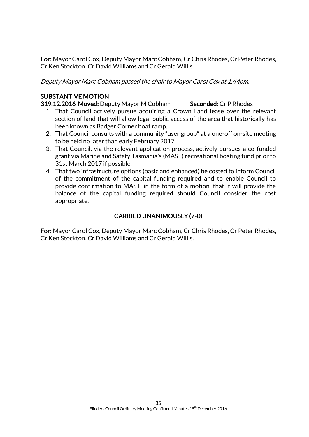For: Mayor Carol Cox, Deputy Mayor Marc Cobham, Cr Chris Rhodes, Cr Peter Rhodes, Cr Ken Stockton, Cr David Williams and Cr Gerald Willis.

Deputy Mayor Marc Cobham passed the chair to Mayor Carol Cox at 1.44pm.

# SUBSTANTIVE MOTION

319.12.2016 Moved: Deputy Mayor M Cobham Seconded: Cr P Rhodes

- 1. That Council actively pursue acquiring a Crown Land lease over the relevant section of land that will allow legal public access of the area that historically has been known as Badger Corner boat ramp.
- 2. That Council consults with a community "user group" at a one-off on-site meeting to be held no later than early February 2017.
- 3. That Council, via the relevant application process, actively pursues a co-funded grant via Marine and Safety Tasmania's (MAST) recreational boating fund prior to 31st March 2017 if possible.
- 4. That two infrastructure options (basic and enhanced) be costed to inform Council of the commitment of the capital funding required and to enable Council to provide confirmation to MAST, in the form of a motion, that it will provide the balance of the capital funding required should Council consider the cost appropriate.

# CARRIED UNANIMOUSLY (7-0)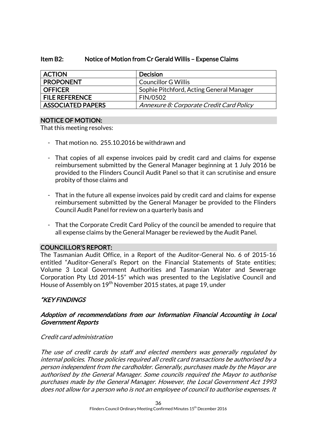### Item B2: Notice of Motion from Cr Gerald Willis – Expense Claims

| <b>ACTION</b>            | <b>Decision</b>                          |
|--------------------------|------------------------------------------|
| <b>PROPONENT</b>         | <b>Councillor G Willis</b>               |
| <b>OFFICER</b>           | Sophie Pitchford, Acting General Manager |
| <b>FILE REFERENCE</b>    | FIN/0502                                 |
| <b>ASSOCIATED PAPERS</b> | Annexure 8: Corporate Credit Card Policy |

### NOTICE OF MOTION:

That this meeting resolves:

- That motion no. 255.10.2016 be withdrawn and
- That copies of all expense invoices paid by credit card and claims for expense reimbursement submitted by the General Manager beginning at 1 July 2016 be provided to the Flinders Council Audit Panel so that it can scrutinise and ensure probity of those claims and
- That in the future all expense invoices paid by credit card and claims for expense reimbursement submitted by the General Manager be provided to the Flinders Council Audit Panel for review on a quarterly basis and
- That the Corporate Credit Card Policy of the council be amended to require that all expense claims by the General Manager be reviewed by the Audit Panel.

### COUNCILLOR'S REPORT:

The Tasmanian Audit Office, in a Report of the Auditor-General No. 6 of 2015-16 entitled "Auditor-General's Report on the Financial Statements of State entities; Volume 3 Local Government Authorities and Tasmanian Water and Sewerage Corporation Pty Ltd 2014-15" which was presented to the Legislative Council and House of Assembly on 19<sup>th</sup> November 2015 states, at page 19, under

# "KEY FINDINGS

# Adoption of recommendations from our Information Financial Accounting in Local Government Reports

### Credit card administration

The use of credit cards by staff and elected members was generally regulated by internal policies. Those policies required all credit card transactions be authorised by a person independent from the cardholder. Generally, purchases made by the Mayor are authorised by the General Manager. Some councils required the Mayor to authorise purchases made by the General Manager. However, the Local Government Act 1993 does not allow for a person who is not an employee of council to authorise expenses. It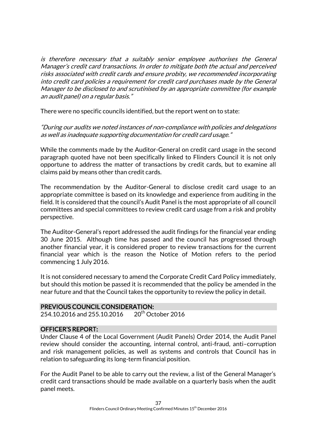is therefore necessary that a suitably senior employee authorises the General Manager's credit card transactions. In order to mitigate both the actual and perceived risks associated with credit cards and ensure probity, we recommended incorporating into credit card policies a requirement for credit card purchases made by the General Manager to be disclosed to and scrutinised by an appropriate committee (for example an audit panel) on a regular basis."

There were no specific councils identified, but the report went on to state:

"During our audits we noted instances of non-compliance with policies and delegations as well as inadequate supporting documentation for credit card usage."

While the comments made by the Auditor-General on credit card usage in the second paragraph quoted have not been specifically linked to Flinders Council it is not only opportune to address the matter of transactions by credit cards, but to examine all claims paid by means other than credit cards.

The recommendation by the Auditor-General to disclose credit card usage to an appropriate committee is based on its knowledge and experience from auditing in the field. It is considered that the council's Audit Panel is the most appropriate of all council committees and special committees to review credit card usage from a risk and probity perspective.

The Auditor-General's report addressed the audit findings for the financial year ending 30 June 2015. Although time has passed and the council has progressed through another financial year, it is considered proper to review transactions for the current financial year which is the reason the Notice of Motion refers to the period commencing 1 July 2016.

It is not considered necessary to amend the Corporate Credit Card Policy immediately, but should this motion be passed it is recommended that the policy be amended in the near future and that the Council takes the opportunity to review the policy in detail.

# PREVIOUS COUNCIL CONSIDERATION:

254.10.2016 and 255.10.2016 20<sup>th</sup> October 2016

# OFFICER'S REPORT:

Under Clause 4 of the Local Government (Audit Panels) Order 2014, the Audit Panel review should consider the accounting, internal control, anti-fraud, anti–corruption and risk management policies, as well as systems and controls that Council has in relation to safeguarding its long-term financial position.

For the Audit Panel to be able to carry out the review, a list of the General Manager's credit card transactions should be made available on a quarterly basis when the audit panel meets.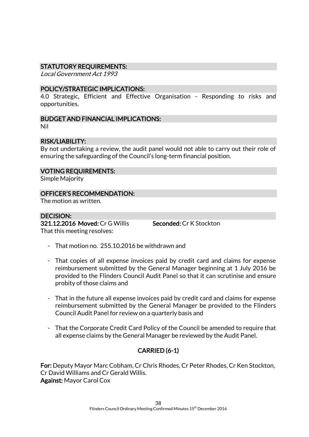### STATUTORY REQUIREMENTS:

Local Government Act 1993

### POLICY/STRATEGIC IMPLICATIONS:

4.0 Strategic, Efficient and Effective Organisation - Responding to risks and opportunities.

### BUDGET AND FINANCIAL IMPLICATIONS:

Nil

# RISK/LIABILITY:

By not undertaking a review, the audit panel would not able to carry out their role of ensuring the safeguarding of the Council's long-term financial position.

# VOTING REQUIREMENTS:

Simple Majority

### OFFICER'S RECOMMENDATION:

The motion as written.

### DECISION:

321.12.2016 Moved: Cr G Willis Seconded: Cr K Stockton That this meeting resolves:

- That motion no. 255.10.2016 be withdrawn and
- That copies of all expense invoices paid by credit card and claims for expense reimbursement submitted by the General Manager beginning at 1 July 2016 be provided to the Flinders Council Audit Panel so that it can scrutinise and ensure probity of those claims and
- That in the future all expense invoices paid by credit card and claims for expense reimbursement submitted by the General Manager be provided to the Flinders Council Audit Panel for review on a quarterly basis and
- That the Corporate Credit Card Policy of the Council be amended to require that all expense claims by the General Manager be reviewed by the Audit Panel.

# CARRIED (6-1)

For: Deputy Mayor Marc Cobham, Cr Chris Rhodes, Cr Peter Rhodes, Cr Ken Stockton, Cr David Williams and Cr Gerald Willis. Against: Mayor Carol Cox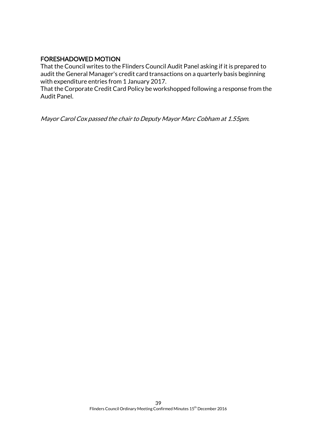# FORESHADOWED MOTION

That the Council writes to the Flinders Council Audit Panel asking if it is prepared to audit the General Manager's credit card transactions on a quarterly basis beginning with expenditure entries from 1 January 2017.

That the Corporate Credit Card Policy be workshopped following a response from the Audit Panel.

Mayor Carol Cox passed the chair to Deputy Mayor Marc Cobham at 1.55pm.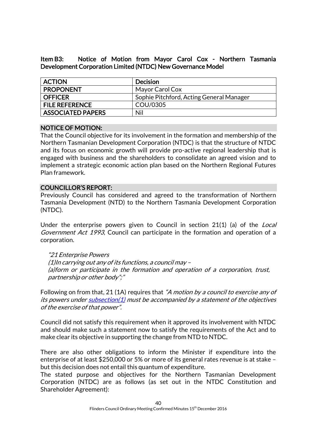Item B3: Notice of Motion from Mayor Carol Cox - Northern Tasmania Development Corporation Limited (NTDC) New Governance Model

| <b>ACTION</b>            | Decision                                 |
|--------------------------|------------------------------------------|
| <b>PROPONENT</b>         | Mayor Carol Cox                          |
| <b>OFFICER</b>           | Sophie Pitchford, Acting General Manager |
| <b>FILE REFERENCE</b>    | COU/0305                                 |
| <b>ASSOCIATED PAPERS</b> | Nil                                      |

### NOTICE OF MOTION:

That the Council objective for its involvement in the formation and membership of the Northern Tasmanian Development Corporation (NTDC) is that the structure of NTDC and its focus on economic growth will provide pro-active regional leadership that is engaged with business and the shareholders to consolidate an agreed vision and to implement a strategic economic action plan based on the Northern Regional Futures Plan framework.

# COUNCILLOR'S REPORT:

Previously Council has considered and agreed to the transformation of Northern Tasmania Development (NTD) to the Northern Tasmania Development Corporation (NTDC).

Under the enterprise powers given to Council in section 21(1) (a) of the *Local* Government Act 1993, Council can participate in the formation and operation of a corporation.

"21 Enterprise Powers (1)In carrying out any of its functions, a council may – (a)form or participate in the formation and operation of a corporation, trust, partnership or other body";"

Following on from that, 21 (1A) requires that "A motion by a council to exercise any of its powers under [subsection\(1\)](http://www.thelaw.tas.gov.au/tocview/content.w3p;cond=;doc_id=95%2B%2B1993%2BGS21%40Gs1%40EN%2B20160909000000;histon=;inforequest=;pdfauthverid=;prompt=;rec=35;rtfauthverid=;term=;webauthverid=#GS21@Gs1@EN) must be accompanied by a statement of the objectives of the exercise of that power".

Council did not satisfy this requirement when it approved its involvement with NTDC and should make such a statement now to satisfy the requirements of the Act and to make clear its objective in supporting the change from NTD to NTDC.

There are also other obligations to inform the Minister if expenditure into the enterprise of at least \$250,000 or 5% or more of its general rates revenue is at stake – but this decision does not entail this quantum of expenditure.

The stated purpose and objectives for the Northern Tasmanian Development Corporation (NTDC) are as follows (as set out in the NTDC Constitution and Shareholder Agreement):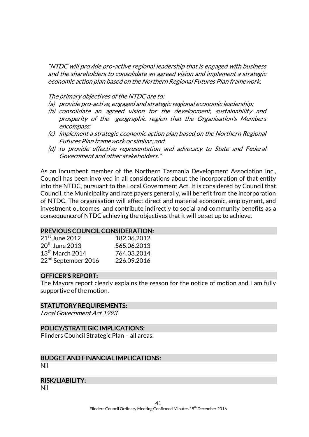"NTDC will provide pro-active regional leadership that is engaged with business and the shareholders to consolidate an agreed vision and implement a strategic economic action plan based on the Northern Regional Futures Plan framework.

The primary objectives of the NTDC are to:

- (a) provide pro-active, engaged and strategic regional economic leadership;
- (b) consolidate an agreed vision for the development, sustainability and prosperity of the geographic region that the Organisation's Members encompass;
- (c) implement a strategic economic action plan based on the Northern Regional Futures Plan framework or similar; and
- (d) to provide effective representation and advocacy to State and Federal Government and other stakeholders."

As an incumbent member of the Northern Tasmania Development Association Inc., Council has been involved in all considerations about the incorporation of that entity into the NTDC, pursuant to the Local Government Act. It is considered by Council that Council, the Municipality and rate payers generally, will benefit from the incorporation of NTDC. The organisation will effect direct and material economic, employment, and investment outcomes and contribute indirectly to social and community benefits as a consequence of NTDC achieving the objectives that it will be set up to achieve.

### PREVIOUS COUNCIL CONSIDERATION:

| $21st$ June 2012                | 182.06.2012 |
|---------------------------------|-------------|
| $20th$ June 2013                | 565.06.2013 |
| $13th$ March 2014               | 764.03.2014 |
| 22 <sup>nd</sup> September 2016 | 226.09.2016 |

### OFFICER'S REPORT:

The Mayors report clearly explains the reason for the notice of motion and I am fully supportive of the motion.

### STATUTORY REQUIREMENTS:

Local Government Act 1993

### POLICY/STRATEGIC IMPLICATIONS:

Flinders Council Strategic Plan – all areas.

# BUDGET AND FINANCIAL IMPLICATIONS:

Nil

### RISK/LIABILITY:

Nil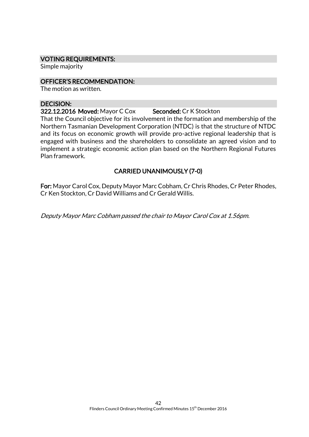### VOTING REQUIREMENTS:

Simple majority

### OFFICER'S RECOMMENDATION:

The motion as written.

#### DECISION:

322.12.2016 Moved: Mayor C Cox Seconded: Cr K Stockton

That the Council objective for its involvement in the formation and membership of the Northern Tasmanian Development Corporation (NTDC) is that the structure of NTDC and its focus on economic growth will provide pro-active regional leadership that is engaged with business and the shareholders to consolidate an agreed vision and to implement a strategic economic action plan based on the Northern Regional Futures Plan framework.

# CARRIED UNANIMOUSLY (7-0)

For: Mayor Carol Cox, Deputy Mayor Marc Cobham, Cr Chris Rhodes, Cr Peter Rhodes, Cr Ken Stockton, Cr David Williams and Cr Gerald Willis.

Deputy Mayor Marc Cobham passed the chair to Mayor Carol Cox at 1.56pm.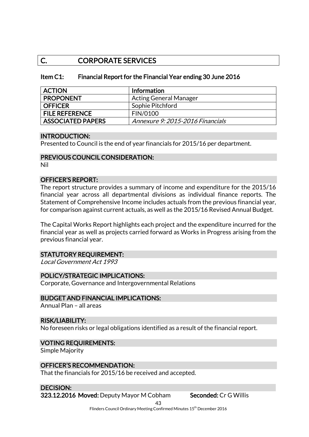# C. CORPORATE SERVICES

### Item C1: Financial Report for the Financial Year ending 30 June 2016

| <b>ACTION</b>            | <b>Information</b>               |
|--------------------------|----------------------------------|
| <b>PROPONENT</b>         | <b>Acting General Manager</b>    |
| <b>OFFICER</b>           | Sophie Pitchford                 |
| <b>FILE REFERENCE</b>    | <b>FIN/0100</b>                  |
| <b>ASSOCIATED PAPERS</b> | Annexure 9: 2015-2016 Financials |

### INTRODUCTION:

Presented to Council is the end of year financials for 2015/16 per department.

# PREVIOUS COUNCIL CONSIDERATION:

Nil

### OFFICER'S REPORT:

The report structure provides a summary of income and expenditure for the 2015/16 financial year across all departmental divisions as individual finance reports. The Statement of Comprehensive Income includes actuals from the previous financial year, for comparison against current actuals, as well as the 2015/16 Revised Annual Budget.

The Capital Works Report highlights each project and the expenditure incurred for the financial year as well as projects carried forward as Works in Progress arising from the previous financial year.

### STATUTORY REQUIREMENT:

Local Government Act 1993

### POLICY/STRATEGIC IMPLICATIONS:

Corporate, Governance and Intergovernmental Relations

# BUDGET AND FINANCIAL IMPLICATIONS:

Annual Plan – all areas

### RISK/LIABILITY:

No foreseen risks or legal obligations identified as a result of the financial report.

### VOTING REQUIREMENTS:

Simple Majority

### OFFICER'S RECOMMENDATION:

That the financials for 2015/16 be received and accepted.

# DECISION:

323.12.2016 Moved: Deputy Mayor M Cobham Seconded: Cr G Willis

43

Flinders Council Ordinary Meeting Confirmed Minutes 15<sup>th</sup> December 2016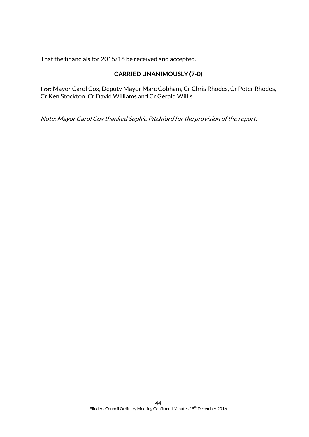That the financials for 2015/16 be received and accepted.

# CARRIED UNANIMOUSLY (7-0)

For: Mayor Carol Cox, Deputy Mayor Marc Cobham, Cr Chris Rhodes, Cr Peter Rhodes, Cr Ken Stockton, Cr David Williams and Cr Gerald Willis.

Note: Mayor Carol Cox thanked Sophie Pitchford for the provision of the report.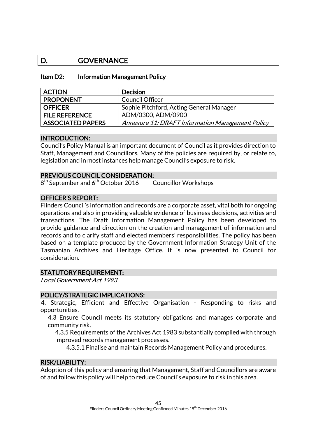# D. GOVERNANCE

### Item D2: Information Management Policy

| <b>ACTION</b>            | <b>Decision</b>                                  |
|--------------------------|--------------------------------------------------|
| <b>PROPONENT</b>         | Council Officer                                  |
| <b>OFFICER</b>           | Sophie Pitchford, Acting General Manager         |
| <b>FILE REFERENCE</b>    | ADM/0300, ADM/0900                               |
| <b>ASSOCIATED PAPERS</b> | Annexure 11: DRAFT Information Management Policy |

### INTRODUCTION:

Council's Policy Manual is an important document of Council as it provides direction to Staff, Management and Councillors. Many of the policies are required by, or relate to, legislation and in most instances help manage Council's exposure to risk.

### PREVIOUS COUNCIL CONSIDERATION:

 $8^\text{th}$  September and 6 $^\text{th}$  October 2016  $\qquad$  Councillor Workshops

### OFFICER'S REPORT:

Flinders Council's information and records are a corporate asset, vital both for ongoing operations and also in providing valuable evidence of business decisions, activities and transactions. The Draft Information Management Policy has been developed to provide guidance and direction on the creation and management of information and records and to clarify staff and elected members' responsibilities. The policy has been based on a template produced by the Government Information Strategy Unit of the Tasmanian Archives and Heritage Office. It is now presented to Council for consideration.

### STATUTORY REQUIREMENT:

Local Government Act 1993

### POLICY/STRATEGIC IMPLICATIONS:

4. Strategic, Efficient and Effective Organisation - Responding to risks and opportunities.

4.3 Ensure Council meets its statutory obligations and manages corporate and community risk.

4.3.5 Requirements of the Archives Act 1983 substantially complied with through improved records management processes.

4.3.5.1 Finalise and maintain Records Management Policy and procedures.

### RISK/LIABILITY:

Adoption of this policy and ensuring that Management, Staff and Councillors are aware of and follow this policy will help to reduce Council's exposure to risk in this area.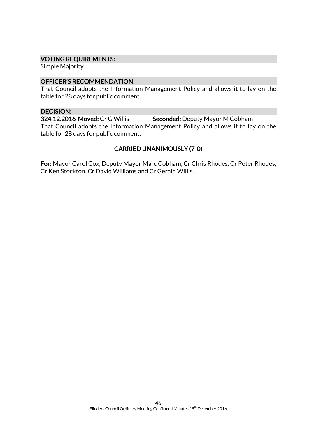### VOTING REQUIREMENTS:

Simple Majority

### OFFICER'S RECOMMENDATION:

That Council adopts the Information Management Policy and allows it to lay on the table for 28 days for public comment.

### DECISION:

324.12.2016 Moved: Cr G Willis Seconded: Deputy Mayor M Cobham That Council adopts the Information Management Policy and allows it to lay on the table for 28 days for public comment.

# CARRIED UNANIMOUSLY (7-0)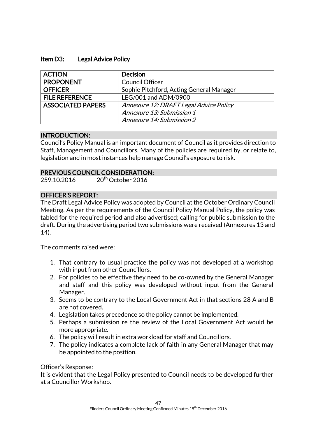### Item D3: Legal Advice Policy

| <b>ACTION</b>            | <b>Decision</b>                          |
|--------------------------|------------------------------------------|
| <b>PROPONENT</b>         | <b>Council Officer</b>                   |
| <b>OFFICER</b>           | Sophie Pitchford, Acting General Manager |
| <b>FILE REFERENCE</b>    | LEG/001 and ADM/0900                     |
| <b>ASSOCIATED PAPERS</b> | Annexure 12: DRAFT Legal Advice Policy   |
|                          | Annexure 13: Submission 1                |
|                          | Annexure 14: Submission 2                |

### INTRODUCTION:

Council's Policy Manual is an important document of Council as it provides direction to Staff, Management and Councillors. Many of the policies are required by, or relate to, legislation and in most instances help manage Council's exposure to risk.

### PREVIOUS COUNCIL CONSIDERATION:

259.10.2016 20<sup>th</sup> October 2016

# OFFICER'S REPORT:

The Draft Legal Advice Policy was adopted by Council at the October Ordinary Council Meeting. As per the requirements of the Council Policy Manual Policy, the policy was tabled for the required period and also advertised; calling for public submission to the draft. During the advertising period two submissions were received (Annexures 13 and 14).

The comments raised were:

- 1. That contrary to usual practice the policy was not developed at a workshop with input from other Councillors.
- 2. For policies to be effective they need to be co-owned by the General Manager and staff and this policy was developed without input from the General Manager.
- 3. Seems to be contrary to the Local Government Act in that sections 28 A and B are not covered.
- 4. Legislation takes precedence so the policy cannot be implemented.
- 5. Perhaps a submission re the review of the Local Government Act would be more appropriate.
- 6. The policy will result in extra workload for staff and Councillors.
- 7. The policy indicates a complete lack of faith in any General Manager that may be appointed to the position.

### Officer's Response:

It is evident that the Legal Policy presented to Council needs to be developed further at a Councillor Workshop.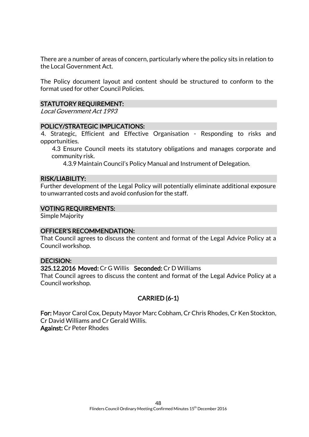There are a number of areas of concern, particularly where the policy sits in relation to the Local Government Act.

The Policy document layout and content should be structured to conform to the format used for other Council Policies.

### STATUTORY REQUIREMENT:

Local Government Act 1993

### POLICY/STRATEGIC IMPLICATIONS:

4. Strategic, Efficient and Effective Organisation - Responding to risks and opportunities.

4.3 Ensure Council meets its statutory obligations and manages corporate and community risk.

4.3.9 Maintain Council's Policy Manual and Instrument of Delegation.

#### RISK/LIABILITY:

Further development of the Legal Policy will potentially eliminate additional exposure to unwarranted costs and avoid confusion for the staff.

### VOTING REQUIREMENTS:

Simple Majority

### OFFICER'S RECOMMENDATION:

That Council agrees to discuss the content and format of the Legal Advice Policy at a Council workshop.

#### DECISION:

### 325.12.2016 Moved: Cr G Willis Seconded: Cr D Williams

That Council agrees to discuss the content and format of the Legal Advice Policy at a Council workshop.

# CARRIED (6-1)

For: Mayor Carol Cox, Deputy Mayor Marc Cobham, Cr Chris Rhodes, Cr Ken Stockton, Cr David Williams and Cr Gerald Willis. Against: Cr Peter Rhodes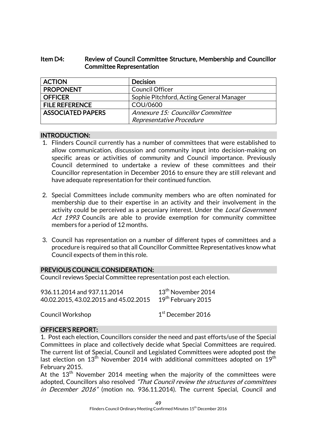# Item D4: Review of Council Committee Structure, Membership and Councillor Committee Representation

| <b>ACTION</b>            | <b>Decision</b>                          |
|--------------------------|------------------------------------------|
| <b>PROPONENT</b>         | <b>Council Officer</b>                   |
| <b>OFFICER</b>           | Sophie Pitchford, Acting General Manager |
| <b>FILE REFERENCE</b>    | COU/0600                                 |
| <b>ASSOCIATED PAPERS</b> | Annexure 15: Councillor Committee        |
|                          | Representative Procedure                 |

### INTRODUCTION:

- 1. Flinders Council currently has a number of committees that were established to allow communication, discussion and community input into decision-making on specific areas or activities of community and Council importance. Previously Council determined to undertake a review of these committees and their Councillor representation in December 2016 to ensure they are still relevant and have adequate representation for their continued function.
- 2. Special Committees include community members who are often nominated for membership due to their expertise in an activity and their involvement in the activity could be perceived as a pecuniary interest. Under the *Local Government* Act 1993 Councils are able to provide exemption for community committee members for a period of 12 months.
- 3. Council has representation on a number of different types of committees and a procedure is required so that all Councillor Committee Representatives know what Council expects of them in this role.

# PREVIOUS COUNCIL CONSIDERATION:

Council reviews Special Committee representation post each election.

| 936.11.2014 and 937.11.2014           | 13 <sup>th</sup> November 2014 |
|---------------------------------------|--------------------------------|
| 40.02.2015, 43.02.2015 and 45.02.2015 | 19 <sup>th</sup> February 2015 |

Council Workshop 1

1<sup>st</sup> December 2016

# OFFICER'S REPORT:

1. Post each election, Councillors consider the need and past efforts/use of the Special Committees in place and collectively decide what Special Committees are required. The current list of Special, Council and Legislated Committees were adopted post the last election on  $13<sup>th</sup>$  November 2014 with additional committees adopted on  $19<sup>th</sup>$ February 2015.

At the  $13<sup>th</sup>$  November 2014 meeting when the majority of the committees were adopted, Councillors also resolved "That Council review the structures of committees in December 2016" (motion no. 936.11.2014). The current Special, Council and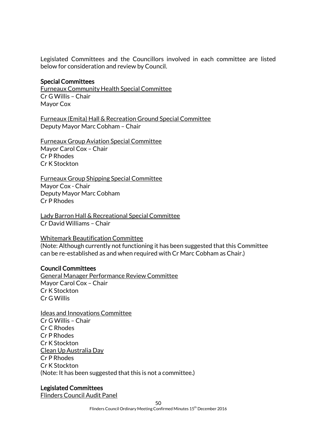Legislated Committees and the Councillors involved in each committee are listed below for consideration and review by Council.

#### Special Committees

Furneaux Community Health Special Committee Cr G Willis – Chair Mayor Cox

Furneaux (Emita) Hall & Recreation Ground Special Committee Deputy Mayor Marc Cobham – Chair

Furneaux Group Aviation Special Committee Mayor Carol Cox – Chair Cr P Rhodes Cr K Stockton

Furneaux Group Shipping Special Committee Mayor Cox - Chair Deputy Mayor Marc Cobham Cr P Rhodes

Lady Barron Hall & Recreational Special Committee Cr David Williams – Chair

### Whitemark Beautification Committee

(Note: Although currently not functioning it has been suggested that this Committee can be re-established as and when required with Cr Marc Cobham as Chair.)

### Council Committees

General Manager Performance Review Committee Mayor Carol Cox – Chair Cr K Stockton Cr G Willis

Ideas and Innovations Committee Cr G Willis – Chair Cr C Rhodes Cr P Rhodes Cr K Stockton Clean Up Australia Day Cr P Rhodes Cr K Stockton (Note: It has been suggested that this is not a committee.)

### Legislated Committees

Flinders Council Audit Panel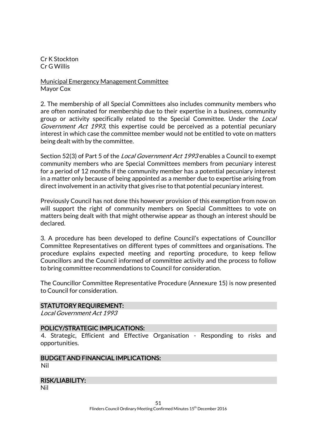Cr K Stockton Cr G Willis

Municipal Emergency Management Committee Mayor Cox

2. The membership of all Special Committees also includes community members who are often nominated for membership due to their expertise in a business, community group or activity specifically related to the Special Committee. Under the Local Government Act 1993, this expertise could be perceived as a potential pecuniary interest in which case the committee member would not be entitled to vote on matters being dealt with by the committee.

Section 52(3) of Part 5 of the *Local Government Act 1993* enables a Council to exempt community members who are Special Committees members from pecuniary interest for a period of 12 months if the community member has a potential pecuniary interest in a matter only because of being appointed as a member due to expertise arising from direct involvement in an activity that gives rise to that potential pecuniary interest.

Previously Council has not done this however provision of this exemption from now on will support the right of community members on Special Committees to vote on matters being dealt with that might otherwise appear as though an interest should be declared.

3. A procedure has been developed to define Council's expectations of Councillor Committee Representatives on different types of committees and organisations. The procedure explains expected meeting and reporting procedure, to keep fellow Councillors and the Council informed of committee activity and the process to follow to bring committee recommendations to Council for consideration.

The Councillor Committee Representative Procedure (Annexure 15) is now presented to Council for consideration.

### STATUTORY REQUIREMENT:

Local Government Act 1993

### POLICY/STRATEGIC IMPLICATIONS:

4. Strategic, Efficient and Effective Organisation - Responding to risks and opportunities.

#### BUDGET AND FINANCIAL IMPLICATIONS: Nil

### RISK/LIABILITY:

Nil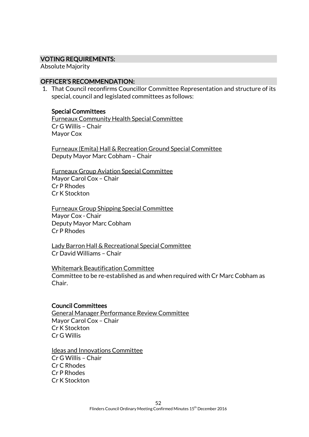### VOTING REQUIREMENTS:

Absolute Majority

### OFFICER'S RECOMMENDATION:

1. That Council reconfirms Councillor Committee Representation and structure of its special, council and legislated committees as follows:

### Special Committees

Furneaux Community Health Special Committee Cr G Willis – Chair Mayor Cox

Furneaux (Emita) Hall & Recreation Ground Special Committee Deputy Mayor Marc Cobham – Chair

Furneaux Group Aviation Special Committee Mayor Carol Cox – Chair Cr P Rhodes Cr K Stockton

Furneaux Group Shipping Special Committee Mayor Cox - Chair Deputy Mayor Marc Cobham Cr P Rhodes

Lady Barron Hall & Recreational Special Committee Cr David Williams – Chair

Whitemark Beautification Committee Committee to be re-established as and when required with Cr Marc Cobham as Chair.

### Council Committees

General Manager Performance Review Committee Mayor Carol Cox – Chair Cr K Stockton Cr G Willis

#### Ideas and Innovations Committee

Cr G Willis – Chair Cr C Rhodes Cr P Rhodes Cr K Stockton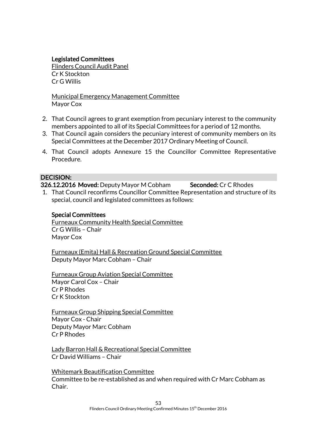# Legislated Committees

Flinders Council Audit Panel Cr K Stockton Cr G Willis

Municipal Emergency Management Committee Mayor Cox

- 2. That Council agrees to grant exemption from pecuniary interest to the community members appointed to all of its Special Committees for a period of 12 months.
- 3. That Council again considers the pecuniary interest of community members on its Special Committees at the December 2017 Ordinary Meeting of Council.
- 4. That Council adopts Annexure 15 the Councillor Committee Representative Procedure.

### DECISION:

326.12.2016 Moved: Deputy Mayor M Cobham Seconded: Cr C Rhodes

1. That Council reconfirms Councillor Committee Representation and structure of its special, council and legislated committees as follows:

### Special Committees

Furneaux Community Health Special Committee Cr G Willis – Chair Mayor Cox

Furneaux (Emita) Hall & Recreation Ground Special Committee Deputy Mayor Marc Cobham – Chair

Furneaux Group Aviation Special Committee Mayor Carol Cox – Chair Cr P Rhodes Cr K Stockton

Furneaux Group Shipping Special Committee Mayor Cox - Chair Deputy Mayor Marc Cobham Cr P Rhodes

Lady Barron Hall & Recreational Special Committee Cr David Williams – Chair

Whitemark Beautification Committee Committee to be re-established as and when required with Cr Marc Cobham as Chair.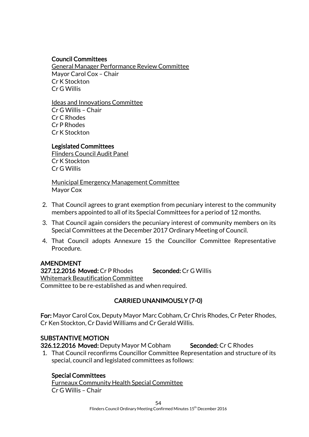### Council Committees

General Manager Performance Review Committee Mayor Carol Cox – Chair Cr K Stockton Cr G Willis

Ideas and Innovations Committee Cr G Willis – Chair Cr C Rhodes Cr P Rhodes Cr K Stockton

### Legislated Committees

Flinders Council Audit Panel Cr K Stockton Cr G Willis

Municipal Emergency Management Committee Mayor Cox

- 2. That Council agrees to grant exemption from pecuniary interest to the community members appointed to all of its Special Committees for a period of 12 months.
- 3. That Council again considers the pecuniary interest of community members on its Special Committees at the December 2017 Ordinary Meeting of Council.
- 4. That Council adopts Annexure 15 the Councillor Committee Representative Procedure.

# AMENDMENT

327.12.2016 Moved: Cr P Rhodes Seconded: Cr G Willis Whitemark Beautification Committee Committee to be re-established as and when required.

# CARRIED UNANIMOUSLY (7-0)

For: Mayor Carol Cox, Deputy Mayor Marc Cobham, Cr Chris Rhodes, Cr Peter Rhodes, Cr Ken Stockton, Cr David Williams and Cr Gerald Willis.

# SUBSTANTIVE MOTION

326.12.2016 Moved: Deputy Mayor M Cobham Seconded: Cr C Rhodes

1. That Council reconfirms Councillor Committee Representation and structure of its special, council and legislated committees as follows:

# Special Committees

Furneaux Community Health Special Committee Cr G Willis – Chair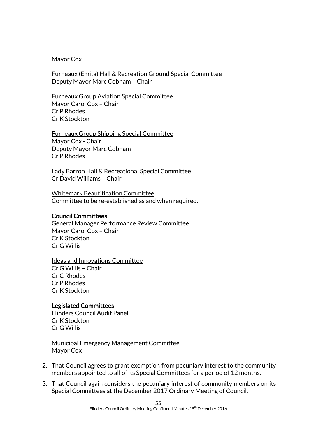Mayor Cox

Furneaux (Emita) Hall & Recreation Ground Special Committee Deputy Mayor Marc Cobham – Chair

Furneaux Group Aviation Special Committee Mayor Carol Cox – Chair Cr P Rhodes Cr K Stockton

Furneaux Group Shipping Special Committee Mayor Cox - Chair Deputy Mayor Marc Cobham Cr P Rhodes

Lady Barron Hall & Recreational Special Committee Cr David Williams – Chair

Whitemark Beautification Committee Committee to be re-established as and when required.

### Council Committees

General Manager Performance Review Committee Mayor Carol Cox – Chair Cr K Stockton Cr G Willis

Ideas and Innovations Committee Cr G Willis – Chair Cr C Rhodes Cr P Rhodes Cr K Stockton

### Legislated Committees

Flinders Council Audit Panel Cr K Stockton Cr G Willis

Municipal Emergency Management Committee Mayor Cox

- 2. That Council agrees to grant exemption from pecuniary interest to the community members appointed to all of its Special Committees for a period of 12 months.
- 3. That Council again considers the pecuniary interest of community members on its Special Committees at the December 2017 Ordinary Meeting of Council.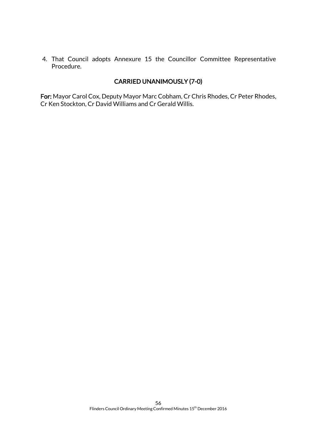4. That Council adopts Annexure 15 the Councillor Committee Representative Procedure.

# CARRIED UNANIMOUSLY (7-0)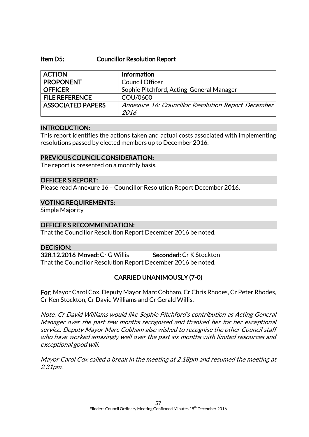### Item D5: Councillor Resolution Report

| <b>ACTION</b>            | Information                                        |
|--------------------------|----------------------------------------------------|
| <b>PROPONENT</b>         | <b>Council Officer</b>                             |
| <b>OFFICER</b>           | Sophie Pitchford, Acting General Manager           |
| <b>FILE REFERENCE</b>    | COU/0600                                           |
| <b>ASSOCIATED PAPERS</b> | Annexure 16: Councillor Resolution Report December |
|                          | 2016                                               |

### INTRODUCTION:

This report identifies the actions taken and actual costs associated with implementing resolutions passed by elected members up to December 2016.

### PREVIOUS COUNCIL CONSIDERATION:

The report is presented on a monthly basis.

### OFFICER'S REPORT:

Please read Annexure 16 – Councillor Resolution Report December 2016.

### VOTING REQUIREMENTS:

Simple Majority

### OFFICER'S RECOMMENDATION:

That the Councillor Resolution Report December 2016 be noted.

### DECISION:

328.12.2016 Moved: Cr G Willis Seconded: Cr K Stockton That the Councillor Resolution Report December 2016 be noted.

# CARRIED UNANIMOUSLY (7-0)

For: Mayor Carol Cox, Deputy Mayor Marc Cobham, Cr Chris Rhodes, Cr Peter Rhodes, Cr Ken Stockton, Cr David Williams and Cr Gerald Willis.

Note: Cr David Williams would like Sophie Pitchford's contribution as Acting General Manager over the past few months recognised and thanked her for her exceptional service. Deputy Mayor Marc Cobham also wished to recognise the other Council staff who have worked amazingly well over the past six months with limited resources and exceptional good will.

Mayor Carol Cox called a break in the meeting at 2.18pm and resumed the meeting at 2.31pm.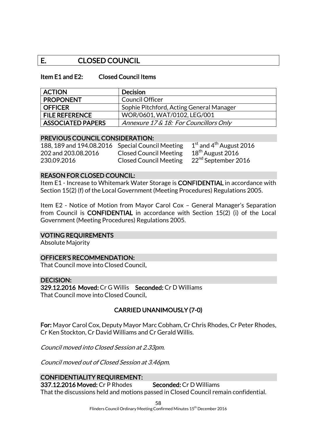# E. CLOSED COUNCIL

### Item E1 and E2: Closed Council Items

| <b>ACTION</b>            | <b>Decision</b>                          |
|--------------------------|------------------------------------------|
| <b>PROPONENT</b>         | Council Officer                          |
| <b>OFFICER</b>           | Sophie Pitchford, Acting General Manager |
| <b>FILE REFERENCE</b>    | WOR/0601, WAT/0102, LEG/001              |
| <b>ASSOCIATED PAPERS</b> | Annexure 17 & 18: For Councillors Only   |

### PREVIOUS COUNCIL CONSIDERATION:

188, 189 and 194.08.2016 Special Council Meeting  $1^{\text{st}}$  and  $4^{\text{th}}$  August 202 and 203.08.2016 Closed Council Meeting  $18^{\text{th}}$  August 2016 202 and 203.08.2016 Closed Council Meeting 230.09.2016 Closed Council Meeting 22nd September 2016

 $1<sup>st</sup>$  and 4<sup>th</sup> August 2016

### REASON FOR CLOSED COUNCIL:

Item E1 - Increase to Whitemark Water Storage is CONFIDENTIAL in accordance with Section 15(2) (f) of the Local Government (Meeting Procedures) Regulations 2005.

Item E2 - Notice of Motion from Mayor Carol Cox – General Manager's Separation from Council is CONFIDENTIAL in accordance with Section 15(2) (i) of the Local Government (Meeting Procedures) Regulations 2005.

#### VOTING REQUIREMENTS

Absolute Majority

### OFFICER'S RECOMMENDATION:

That Council move into Closed Council.

#### DECISION:

329.12.2016 Moved: Cr G Willis Seconded: Cr D Williams That Council move into Closed Council.

# CARRIED UNANIMOUSLY (7-0)

For: Mayor Carol Cox, Deputy Mayor Marc Cobham, Cr Chris Rhodes, Cr Peter Rhodes, Cr Ken Stockton, Cr David Williams and Cr Gerald Willis.

Council moved into Closed Session at 2.33pm.

Council moved out of Closed Session at 3.46pm.

### CONFIDENTIALITY REQUIREMENT:

337.12.2016 Moved: Cr P Rhodes Seconded: Cr D Williams That the discussions held and motions passed in Closed Council remain confidential.

> 58 Flinders Council Ordinary Meeting Confirmed Minutes 15<sup>th</sup> December 2016